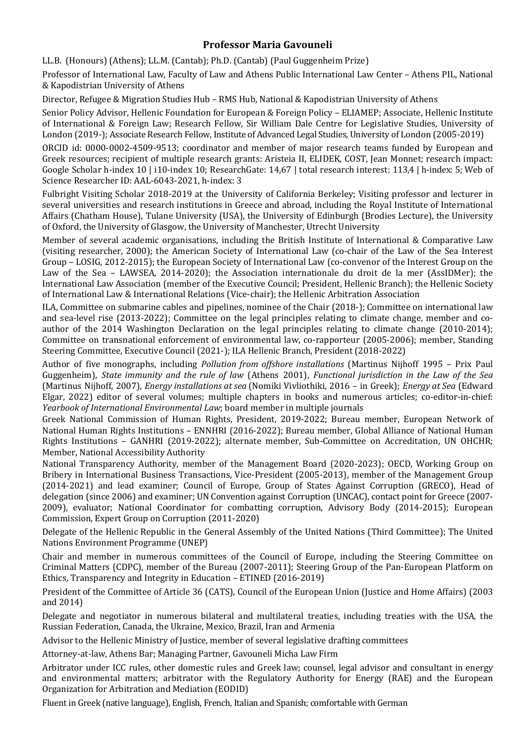# **Professor Maria Gavouneli**

LL.B. (Honours) (Athens); LL.M. (Cantab); Ph.D. (Cantab) (Paul Guggenheim Prize)

Professor of International Law, Faculty of Law and Athens Public International Law Center – Athens PIL, National & Kapodistrian University of Athens

Director, Refugee & Migration Studies Hub – RMS Hub, National & Kapodistrian University of Athens

Senior Policy Advisor, Hellenic Foundation for European & Foreign Policy - ELIAMEP; Associate, Hellenic Institute of International & Foreign Law; Research Fellow, Sir William Dale Centre for Legislative Studies, University of London (2019-); Associate Research Fellow, Institute of Advanced Legal Studies, University of London (2005-2019)

ORCID id: 0000-0002-4509-9513; coordinator and member of major research teams funded by European and Greek resources; recipient of multiple research grants: Aristeia II, ELIDEK, COST, Jean Monnet; research impact: Google Scholar h-index 10 | i10-index 10; ResearchGate: 14,67 | total research interest: 113,4 | h-index: 5; Web of Science Researcher ID: AAL-6043-2021, h-index: 3

Fulbright Visiting Scholar 2018-2019 at the University of California Berkeley; Visiting professor and lecturer in several universities and research institutions in Greece and abroad, including the Royal Institute of International Affairs (Chatham House), Tulane University (USA), the University of Edinburgh (Brodies Lecture), the University of Oxford, the University of Glasgow, the University of Manchester, Utrecht University

Member of several academic organisations, including the British Institute of International & Comparative Law (visiting researcher, 2000); the American Society of International Law (co-chair of the Law of the Sea Interest Group – LOSIG, 2012-2015); the European Society of International Law (co-convenor of the Interest Group on the Law of the Sea – LAWSEA, 2014-2020); the Association internationale du droit de la mer (AssIDMer); the International Law Association (member of the Executive Council; President, Hellenic Branch); the Hellenic Society of International Law & International Relations (Vice-chair); the Hellenic Arbitration Association

ILA, Committee on submarine cables and pipelines, nominee of the Chair (2018-); Committee on international law and sea-level rise (2013-2022); Committee on the legal principles relating to climate change, member and coauthor of the 2014 Washington Declaration on the legal principles relating to climate change (2010-2014); Committee on transnational enforcement of environmental law, co-rapporteur (2005-2006); member, Standing Steering Committee, Executive Council (2021-); ILA Hellenic Branch, President (2018-2022)

Author of five monographs, including *Pollution from offshore installations* (Martinus Nijhoff 1995 – Prix Paul Guggenheim), *State immunity and the rule of law* (Athens 2001), *Functional jurisdiction in the Law of the Sea* (Martinus Nijhoff, 2007), *Energy installations at sea* (Nomiki Vivliothiki, 2016 – in Greek); *Energy at Sea* (Edward Elgar, 2022) editor of several volumes; multiple chapters in books and numerous articles; co-editor-in-chief: *Yearbook of International Environmental Law*; board member in multiple journals

Greek National Commission of Human Rights, President, 2019-2022; Bureau member, European Network of National Human Rights Institutions – ENNHRI (2016-2022); Bureau member, Global Alliance of National Human Rights Institutions - GANHRI (2019-2022); alternate member, Sub-Committee on Accreditation, UN OHCHR; Member, National Accessibility Authority

National Transparency Authority, member of the Management Board (2020-2023); OECD, Working Group on Bribery in International Business Transactions, Vice-President (2005-2013), member of the Management Group (2014-2021) and lead examiner; Council of Europe, Group of States Against Corruption (GRECO), Head of delegation (since 2006) and examiner; UN Convention against Corruption (UNCAC), contact point for Greece (2007-2009), evaluator; National Coordinator for combatting corruption, Advisory Body (2014-2015); European Commission, Expert Group on Corruption (2011-2020)

Delegate of the Hellenic Republic in the General Assembly of the United Nations (Third Committee); The United Nations Environment Programme (UNEP)

Chair and member in numerous committees of the Council of Europe, including the Steering Committee on Criminal Matters (CDPC), member of the Bureau (2007-2011); Steering Group of the Pan-European Platform on Ethics, Transparency and Integrity in Education – ETINED  $(2016-2019)$ 

President of the Committee of Article 36 (CATS), Council of the European Union (Justice and Home Affairs) (2003 and 2014)

Delegate and negotiator in numerous bilateral and multilateral treaties, including treaties with the USA, the Russian Federation, Canada, the Ukraine, Mexico, Brazil, Iran and Armenia

Advisor to the Hellenic Ministry of Justice, member of several legislative drafting committees

Attorney-at-law, Athens Bar; Managing Partner, Gavouneli Micha Law Firm

Arbitrator under ICC rules, other domestic rules and Greek law; counsel, legal advisor and consultant in energy and environmental matters; arbitrator with the Regulatory Authority for Energy (RAE) and the European Organization for Arbitration and Mediation (EODID)

Fluent in Greek (native language), English, French, Italian and Spanish; comfortable with German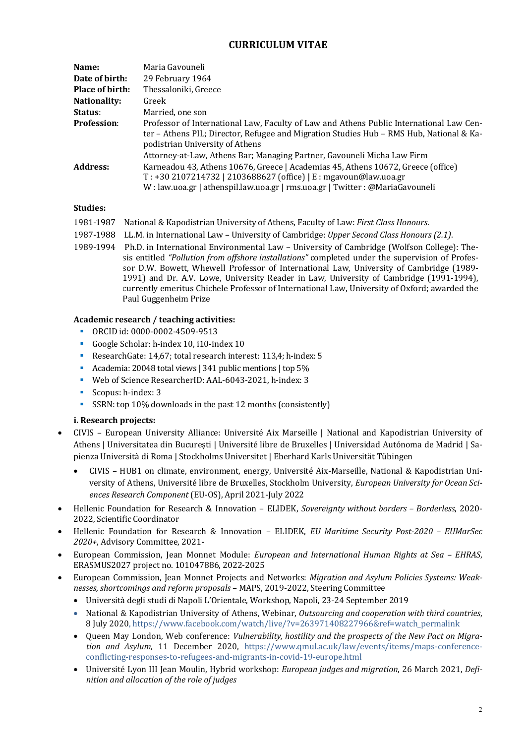# **CURRICULUM VITAE**

| Name:                  | Maria Gavouneli                                                                                                                                                                                                                      |  |
|------------------------|--------------------------------------------------------------------------------------------------------------------------------------------------------------------------------------------------------------------------------------|--|
| Date of birth:         | 29 February 1964                                                                                                                                                                                                                     |  |
| <b>Place of birth:</b> | Thessaloniki, Greece                                                                                                                                                                                                                 |  |
| Nationality:           | Greek                                                                                                                                                                                                                                |  |
| Status:                | Married, one son                                                                                                                                                                                                                     |  |
| <b>Profession:</b>     | Professor of International Law, Faculty of Law and Athens Public International Law Cen-<br>ter – Athens PIL; Director, Refugee and Migration Studies Hub – RMS Hub, National & Ka-<br>podistrian University of Athens                |  |
|                        | Attorney-at-Law, Athens Bar; Managing Partner, Gavouneli Micha Law Firm                                                                                                                                                              |  |
| Address:               | Karneadou 43, Athens 10676, Greece   Academias 45, Athens 10672, Greece (office)<br>T: +30 2107214732   2103688627 (office)   E: mgavoun@law.uoa.gr<br>W: law.uoa.gr   athenspil.law.uoa.gr   rms.uoa.gr   Twitter : @MariaGavouneli |  |

### **Studies:**

- 1981-1987 National & Kapodistrian University of Athens, Faculty of Law: *First Class Honours*.
- 1987-1988 L.L.M. in International Law University of Cambridge: *Upper Second Class Honours (2.1)*.
- 1989-1994 Ph.D. in International Environmental Law University of Cambridge (Wolfson College): Thesis entitled "Pollution from offshore installations" completed under the supervision of Professor D.W. Bowett, Whewell Professor of International Law, University of Cambridge (1989-1991) and Dr. A.V. Lowe, University Reader in Law, University of Cambridge (1991-1994), currently emeritus Chichele Professor of International Law, University of Oxford; awarded the Paul Guggenheim Prize

#### Academic research / teaching activities:

- § ORCID id: 0000-0002-4509-9513
- Google Scholar: h-index 10, i10-index 10
- ResearchGate: 14,67; total research interest: 113,4; h-index: 5
- Academia: 20048 total views | 341 public mentions | top 5%
- Web of Science ResearcherID: AAL-6043-2021, h-index: 3
- Scopus: h-index: 3
- SSRN: top 10% downloads in the past 12 months (consistently)

### **i. Research projects:**

- CIVIS European University Alliance: Université Aix Marseille | National and Kapodistrian University of Athens | Universitatea din București | Université libre de Bruxelles | Universidad Autónoma de Madrid | Sapienza Università di Roma | Stockholms Universitet | Eberhard Karls Universität Tübingen
	- CIVIS HUB1 on climate, environment, energy, Université Aix-Marseille, National & Kapodistrian University of Athens, Université libre de Bruxelles, Stockholm University, *European University for Ocean Sciences Research Component* (EU-OS), April 2021-July 2022
- Hellenic Foundation for Research & Innovation ELIDEK, *Sovereignty without borders – Borderless*, 2020- 2022, Scientific Coordinator
- Hellenic Foundation for Research & Innovation ELIDEK, *EU Maritime Security Post-2020 – EUMarSec 2020+*, Advisory Committee, 2021-
- European Commission, Jean Monnet Module: *European and International Human Rights at Sea – EHRAS*, ERASMUS2027 project no. 101047886, 2022-2025
- European Commission, Jean Monnet Projects and Networks: *Migration and Asylum Policies Systems: Weaknesses, shortcomings and reform proposals* – MAPS, 2019-2022, Steering Committee
	- Università degli studi di Napoli L'Orientale, Workshop, Napoli, 23-24 September 2019
	- National & Kapodistrian University of Athens, Webinar, Outsourcing and cooperation with third countries, 8 July 2020, https://www.facebook.com/watch/live/?v=263971408227966&ref=watch\_permalink
	- Oueen May London, Web conference: *Vulnerability, hostility and the prospects of the New Pact on Migration* and Asylum, 11 December 2020, https://www.qmul.ac.uk/law/events/items/maps-conferenceconflicting-responses-to-refugees-and-migrants-in-covid-19-europe.html
	- Université Lyon III Jean Moulin, Hybrid workshop: *European judges and migration*, 26 March 2021, *Definition and allocation of the role of judges*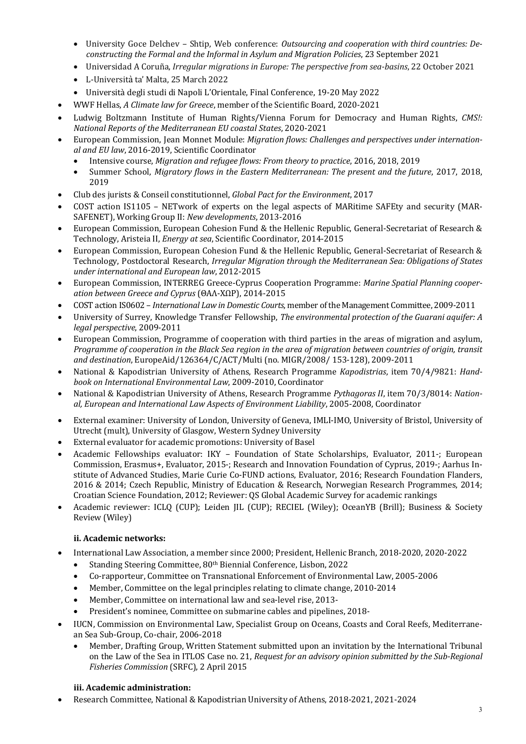- University Goce Delchev Shtip, Web conference: *Outsourcing and cooperation with third countries: De*constructing the Formal and the Informal in Asylum and Migration Policies, 23 September 2021
- Universidad A Coruña, *Irregular migrations in Europe: The perspective from seg-basins*, 22 October 2021
- L-Università ta' Malta, 25 March 2022
- Università degli studi di Napoli L'Orientale, Final Conference, 19-20 May 2022
- WWF Hellas, *A Climate law for Greece*, member of the Scientific Board, 2020-2021
- Ludwig Boltzmann Institute of Human Rights/Vienna Forum for Democracy and Human Rights, *CMS!: National Reports of the Mediterranean EU coastal States*, 2020-2021
- European Commission, Jean Monnet Module: *Migration flows: Challenges and perspectives under international and EU law*, 2016-2019, Scientific Coordinator
	- Intensive course, *Migration and refugee flows: From theory to practice*, 2016, 2018, 2019
	- Summer School, *Migratory flows in the Eastern Mediterranean: The present and the future*, 2017, 2018, 2019
- Club des jurists & Conseil constitutionnel, *Global Pact for the Environment*, 2017
- COST action IS1105 NETwork of experts on the legal aspects of MARitime SAFEty and security (MAR-SAFENET), Working Group II: New developments, 2013-2016
- European Commission, European Cohesion Fund & the Hellenic Republic, General-Secretariat of Research & Technology, Aristeia II, *Energy at sea*, Scientific Coordinator, 2014-2015
- European Commission, European Cohesion Fund & the Hellenic Republic, General-Secretariat of Research & Technology, Postdoctoral Research, *Irregular Migration through the Mediterranean Sea: Obligations of States under international and European law*, 2012-2015
- European Commission, INTERREG Greece-Cyprus Cooperation Programme: *Marine Spatial Planning cooperation between Greece and Cyprus* (ΘΑΛ-ΧΩΡ), 2014-2015
- COST action IS0602 – *International Law in Domestic Courts*, member of the Management Committee, 2009-2011
- University of Surrey, Knowledge Transfer Fellowship, *The environmental protection of the Guarani aquifer: A legal perspective*, 2009-2011
- European Commission, Programme of cooperation with third parties in the areas of migration and asylum, *Programme of cooperation in the Black Sea region in the area of migration between countries of origin, transit* and destination, EuropeAid/126364/C/ACT/Multi (no. MIGR/2008/ 153-128), 2009-2011
- National & Kapodistrian University of Athens, Research Programme *Kapodistrias*, item 70/4/9821: *Handbook on International Environmental Law*, 2009-2010, Coordinator
- National & Kapodistrian University of Athens, Research Programme *Pythagoras II*, item 70/3/8014: National, European and International Law Aspects of Environment Liability, 2005-2008, Coordinator
- External examiner: University of London, University of Geneva, IMLI-IMO, University of Bristol, University of Utrecht (mult), University of Glasgow, Western Sydney University
- External evaluator for academic promotions: University of Basel
- Academic Fellowships evaluator: IKY Foundation of State Scholarships, Evaluator, 2011-; European Commission, Erasmus+, Evaluator, 2015-; Research and Innovation Foundation of Cyprus, 2019-; Aarhus Institute of Advanced Studies, Marie Curie Co-FUND actions, Evaluator, 2016; Research Foundation Flanders, 2016 & 2014; Czech Republic, Ministry of Education & Research, Norwegian Research Programmes, 2014; Croatian Science Foundation, 2012; Reviewer: QS Global Academic Survey for academic rankings
- Academic reviewer: ICLQ (CUP); Leiden JIL (CUP); RECIEL (Wiley); OceanYB (Brill); Business & Society Review (Wiley)

### **ii. Academic networks:**

- International Law Association, a member since 2000; President, Hellenic Branch, 2018-2020, 2020-2022
	- Standing Steering Committee, 80<sup>th</sup> Biennial Conference, Lisbon, 2022
	- Co-rapporteur, Committee on Transnational Enforcement of Environmental Law, 2005-2006
	- Member, Committee on the legal principles relating to climate change, 2010-2014
	- Member, Committee on international law and sea-level rise, 2013-
	- President's nominee, Committee on submarine cables and pipelines, 2018-
- IUCN, Commission on Environmental Law, Specialist Group on Oceans, Coasts and Coral Reefs, Mediterranean Sea Sub-Group, Co-chair, 2006-2018
	- Member, Drafting Group, Written Statement submitted upon an invitation by the International Tribunal on the Law of the Sea in ITLOS Case no. 21, *Request for an advisory opinion submitted by the Sub-Regional Fisheries Commission* (SRFC), 2 April 2015

#### **iii. Academic administration:**

Research Committee, National & Kapodistrian University of Athens, 2018-2021, 2021-2024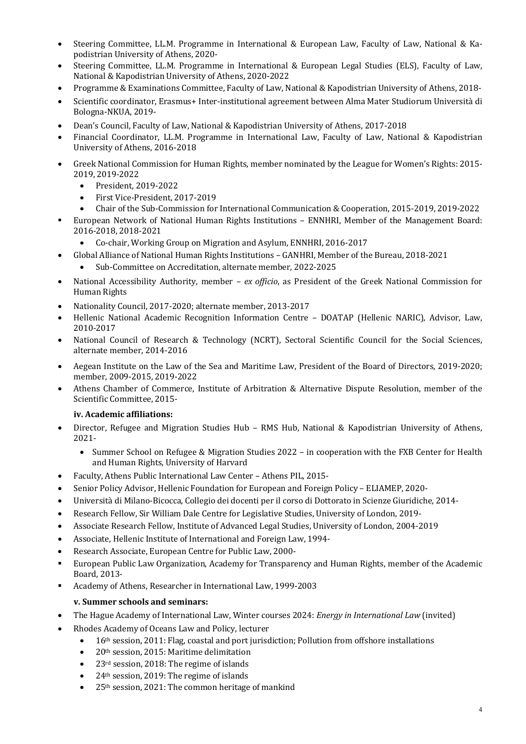- Steering Committee, LL.M. Programme in International & European Law, Faculty of Law, National & Kapodistrian University of Athens, 2020-
- Steering Committee, LL.M. Programme in International & European Legal Studies (ELS), Faculty of Law, National & Kapodistrian University of Athens, 2020-2022
- Programme & Examinations Committee, Faculty of Law, National & Kapodistrian University of Athens, 2018-
- Scientific coordinator, Erasmus+ Inter-institutional agreement between Alma Mater Studiorum Università di Bologna-NKUA, 2019-
- Dean's Council, Faculty of Law, National & Kapodistrian University of Athens, 2017-2018
- Financial Coordinator, LL.M. Programme in International Law, Faculty of Law, National & Kapodistrian University of Athens, 2016-2018
- Greek National Commission for Human Rights, member nominated by the League for Women's Rights: 2015-2019, 2019-2022
	- President, 2019-2022
	- First Vice-President, 2017-2019
	- Chair of the Sub-Commission for International Communication & Cooperation, 2015-2019, 2019-2022
- European Network of National Human Rights Institutions ENNHRI, Member of the Management Board: 2016-2018, 2018-2021
	- Co-chair, Working Group on Migration and Asylum, ENNHRI, 2016-2017
- Global Alliance of National Human Rights Institutions GANHRI, Member of the Bureau, 2018-2021
	- Sub-Committee on Accreditation, alternate member, 2022-2025
- National Accessibility Authority, member *ex officio*, as President of the Greek National Commission for Human Rights
- Nationality Council, 2017-2020; alternate member, 2013-2017
- Hellenic National Academic Recognition Information Centre DOATAP (Hellenic NARIC), Advisor, Law, 2010-2017
- National Council of Research & Technology (NCRT), Sectoral Scientific Council for the Social Sciences, alternate member, 2014-2016
- Aegean Institute on the Law of the Sea and Maritime Law, President of the Board of Directors, 2019-2020; member, 2009-2015, 2019-2022
- Athens Chamber of Commerce, Institute of Arbitration & Alternative Dispute Resolution, member of the Scientific Committee, 2015-

### **iv. Academic affiliations:**

- Director, Refugee and Migration Studies Hub RMS Hub, National & Kapodistrian University of Athens, 2021-
	- Summer School on Refugee & Migration Studies 2022 in cooperation with the FXB Center for Health and Human Rights, University of Harvard
- Faculty, Athens Public International Law Center Athens PIL, 2015-
- Senior Policy Advisor, Hellenic Foundation for European and Foreign Policy ELIAMEP, 2020-
- Università di Milano-Bicocca, Collegio dei docenti per il corso di Dottorato in Scienze Giuridiche, 2014-
- Research Fellow, Sir William Dale Centre for Legislative Studies, University of London, 2019-
- Associate Research Fellow, Institute of Advanced Legal Studies, University of London, 2004-2019
- Associate, Hellenic Institute of International and Foreign Law, 1994-
- Research Associate, European Centre for Public Law, 2000-
- European Public Law Organization, Academy for Transparency and Human Rights, member of the Academic Board, 2013-
- § Academy of Athens, Researcher in International Law, 1999-2003

### **v. Summer schools and seminars:**

- The Hague Academy of International Law, Winter courses 2024: *Energy in International Law* (invited)
- Rhodes Academy of Oceans Law and Policy, lecturer
	- $\bullet$  16<sup>th</sup> session, 2011: Flag, coastal and port jurisdiction; Pollution from offshore installations
	- 20<sup>th</sup> session, 2015: Maritime delimitation
	- 23<sup>rd</sup> session, 2018: The regime of islands
	- $24<sup>th</sup>$  session, 2019: The regime of islands
	- 25<sup>th</sup> session, 2021: The common heritage of mankind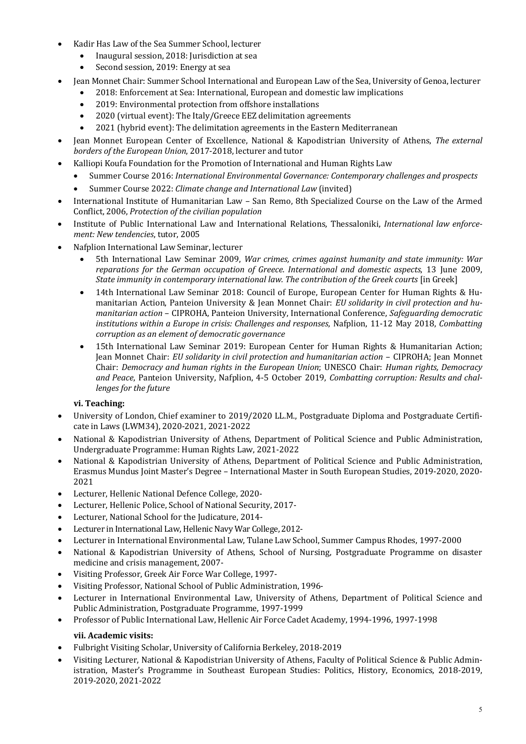- Kadir Has Law of the Sea Summer School, lecturer
	- Inaugural session, 2018: Jurisdiction at sea
	- Second session, 2019: Energy at sea
- Jean Monnet Chair: Summer School International and European Law of the Sea, University of Genoa, lecturer
	- 2018: Enforcement at Sea: International, European and domestic law implications
	- 2019: Environmental protection from offshore installations
	- 2020 (virtual event): The Italy/Greece EEZ delimitation agreements
	- 2021 (hybrid event): The delimitation agreements in the Eastern Mediterranean
- Jean Monnet European Center of Excellence, National & Kapodistrian University of Athens, *The external borders of the European Union, 2017-2018, lecturer and tutor*
- Kalliopi Koufa Foundation for the Promotion of International and Human Rights Law
	- Summer Course 2016: *International Environmental Governance: Contemporary challenges and prospects*
	- Summer Course 2022: *Climate change and International Law* (invited)
- International Institute of Humanitarian Law San Remo, 8th Specialized Course on the Law of the Armed Conflict, 2006, Protection of the civilian population
- Institute of Public International Law and International Relations, Thessaloniki, *International law enforcement: New tendencies*, tutor, 2005
- Nafplion International Law Seminar, lecturer
	- 5th International Law Seminar 2009, *War crimes, crimes against humanity and state immunity: War reparations for the German occupation of Greece. International and domestic aspects*, 13 June 2009, *State immunity in contemporary international law. The contribution of the Greek courts* [in Greek]
	- 14th International Law Seminar 2018: Council of Europe, European Center for Human Rights & Humanitarian Action, Panteion University & Jean Monnet Chair: *EU solidarity in civil protection and humanitarian action* – CIPROHA, Panteion University, International Conference, Safeguarding democratic *institutions within a Europe in crisis: Challenges and responses, Nafplion, 11-12 May 2018, Combatting corruption as an element of democratic governance*
	- 15th International Law Seminar 2019: European Center for Human Rights & Humanitarian Action; Jean Monnet Chair: *EU solidarity in civil protection and humanitarian action* – CIPROHA; Jean Monnet Chair: *Democracy and human rights in the European Union*; UNESCO Chair: *Human rights, Democracy* and Peace, Panteion University, Nafplion, 4-5 October 2019, *Combatting corruption: Results and challenges for the future*

# **vi. Teaching:**

- University of London, Chief examiner to 2019/2020 LL.M., Postgraduate Diploma and Postgraduate Certificate in Laws (LWM34), 2020-2021, 2021-2022
- National & Kapodistrian University of Athens, Department of Political Science and Public Administration, Undergraduate Programme: Human Rights Law, 2021-2022
- National & Kapodistrian University of Athens, Department of Political Science and Public Administration, Erasmus Mundus Joint Master's Degree - International Master in South European Studies, 2019-2020, 2020-2021
- Lecturer, Hellenic National Defence College, 2020-
- Lecturer, Hellenic Police, School of National Security, 2017-
- Lecturer, National School for the Judicature, 2014-
- Lecturer in International Law, Hellenic Navy War College, 2012-
- Lecturer in International Environmental Law, Tulane Law School, Summer Campus Rhodes, 1997-2000
- National & Kapodistrian University of Athens, School of Nursing, Postgraduate Programme on disaster medicine and crisis management, 2007-
- Visiting Professor, Greek Air Force War College, 1997-
- Visiting Professor, National School of Public Administration, 1996-
- Lecturer in International Environmental Law, University of Athens, Department of Political Science and Public Administration, Postgraduate Programme, 1997-1999
- Professor of Public International Law, Hellenic Air Force Cadet Academy, 1994-1996, 1997-1998

# **vii. Academic visits:**

- Fulbright Visiting Scholar, University of California Berkeley, 2018-2019
- Visiting Lecturer, National & Kapodistrian University of Athens, Faculty of Political Science & Public Administration, Master's Programme in Southeast European Studies: Politics, History, Economics, 2018-2019, 2019-2020, 2021-2022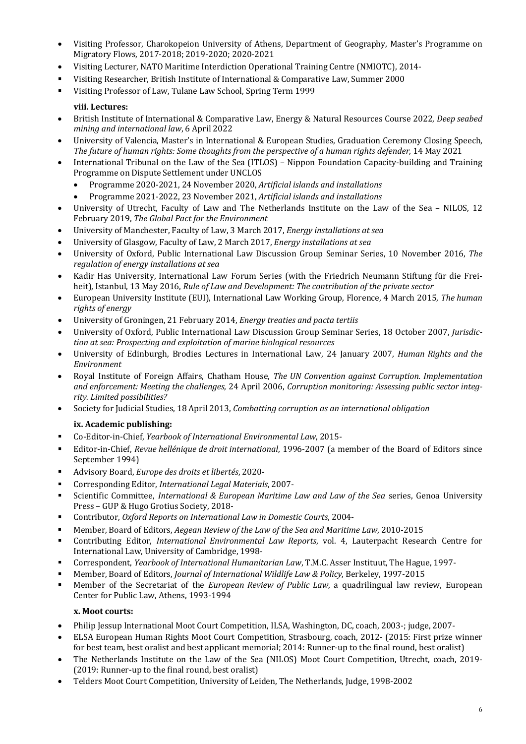- Visiting Professor, Charokopeion University of Athens, Department of Geography, Master's Programme on Migratory Flows, 2017-2018; 2019-2020; 2020-2021
- Visiting Lecturer, NATO Maritime Interdiction Operational Training Centre (NMIOTC), 2014-
- Visiting Researcher, British Institute of International & Comparative Law, Summer 2000
- Visiting Professor of Law, Tulane Law School, Spring Term 1999

# **viii. Lectures:**

- British Institute of International & Comparative Law, Energy & Natural Resources Course 2022, *Deep seabed mining and international law*, 6 April 2022
- University of Valencia, Master's in International & European Studies, Graduation Ceremony Closing Speech, *The future of human rights: Some thoughts from the perspective of a human rights defender*, 14 May 2021
- International Tribunal on the Law of the Sea (ITLOS) Nippon Foundation Capacity-building and Training Programme on Dispute Settlement under UNCLOS
	- Programme 2020-2021, 24 November 2020, *Artificial islands and installations*
	- Programme 2021-2022, 23 November 2021, *Artificial islands and installations*
- University of Utrecht, Faculty of Law and The Netherlands Institute on the Law of the Sea NILOS, 12 February 2019, *The Global Pact for the Environment*
- University of Manchester, Faculty of Law, 3 March 2017, *Energy installations at sea*
- University of Glasgow, Faculty of Law, 2 March 2017, *Energy installations at sea*
- University of Oxford, Public International Law Discussion Group Seminar Series, 10 November 2016, The *regulation of energy installations at sea*
- Kadir Has University, International Law Forum Series (with the Friedrich Neumann Stiftung für die Freiheit), Istanbul, 13 May 2016, *Rule of Law and Development: The contribution of the private sector*
- European University Institute (EUI), International Law Working Group, Florence, 4 March 2015, *The human rights of energy*
- University of Groningen, 21 February 2014, *Energy treaties and pacta tertiis*
- University of Oxford, Public International Law Discussion Group Seminar Series, 18 October 2007, *Jurisdiction at sea: Prospecting and exploitation of marine biological resources*
- University of Edinburgh, Brodies Lectures in International Law, 24 January 2007, *Human Rights and the Environment*
- Royal Institute of Foreign Affairs, Chatham House, *The UN Convention against Corruption. Implementation* and enforcement: Meeting the challenges, 24 April 2006, *Corruption monitoring: Assessing public sector integrity. Limited possibilities?*
- Society for Judicial Studies, 18 April 2013, *Combatting corruption as an international obligation*

# **ix. Academic publishing:**

- § Co-Editor-in-Chief, *Yearbook of International Environmental Law*, 2015-
- Editor-in-Chief, *Revue hellénique de droit international*, 1996-2007 (a member of the Board of Editors since September 1994)
- Advisory Board, *Europe des droits et libertés*, 2020-
- § Corresponding Editor, *International Legal Materials*, 2007-
- Scientific Committee, *International & European Maritime Law and Law of the Sea series*, Genoa University Press - GUP & Hugo Grotius Society, 2018-
- Contributor, *Oxford Reports on International Law in Domestic Courts*, 2004-
- **EXECT:** Member, Board of Editors, *Aegean Review of the Law of the Sea and Maritime Law*, 2010-2015
- Contributing Editor, *International Environmental Law Reports*, vol. 4, Lauterpacht Research Centre for International Law, University of Cambridge, 1998-
- Correspondent, *Yearbook of International Humanitarian Law*, T.M.C. Asser Instituut, The Hague, 1997-
- § Member, Board of Editors, *Journal of International Wildlife Law & Policy*, Berkeley, 1997-2015
- Member of the Secretariat of the *European Review of Public Law*, a quadrilingual law review, European Center for Public Law, Athens, 1993-1994

# **x. Moot courts:**

- Philip Jessup International Moot Court Competition, ILSA, Washington, DC, coach, 2003-; judge, 2007-
- ELSA European Human Rights Moot Court Competition, Strasbourg, coach, 2012- (2015: First prize winner for best team, best oralist and best applicant memorial; 2014: Runner-up to the final round, best oralist)
- The Netherlands Institute on the Law of the Sea (NILOS) Moot Court Competition, Utrecht, coach, 2019-(2019: Runner-up to the final round, best oralist)
- Telders Moot Court Competition, University of Leiden, The Netherlands, Judge, 1998-2002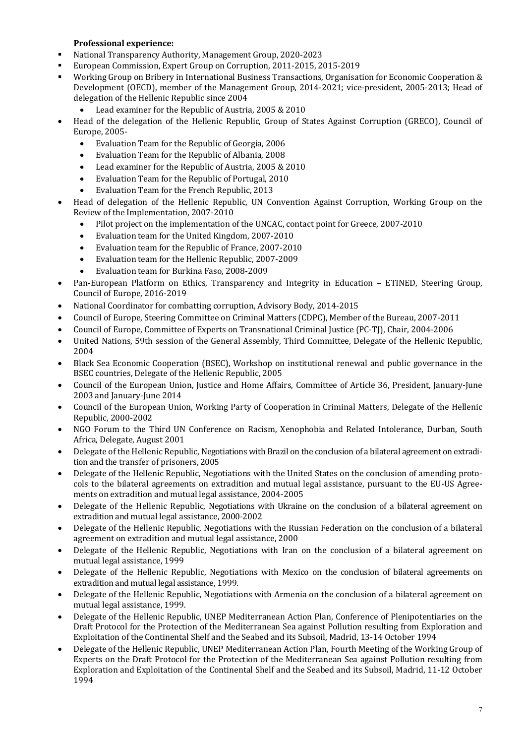## **Professional experience:**

- § National Transparency Authority, Management Group, 2020-2023
- European Commission, Expert Group on Corruption, 2011-2015, 2015-2019
- Working Group on Bribery in International Business Transactions, Organisation for Economic Cooperation & Development (OECD), member of the Management Group, 2014-2021; vice-president, 2005-2013; Head of delegation of the Hellenic Republic since 2004
	- Lead examiner for the Republic of Austria, 2005 & 2010
- Head of the delegation of the Hellenic Republic, Group of States Against Corruption (GRECO), Council of Europe, 2005-
	- Evaluation Team for the Republic of Georgia, 2006
	- Evaluation Team for the Republic of Albania, 2008
	- Lead examiner for the Republic of Austria, 2005 & 2010
	- Evaluation Team for the Republic of Portugal, 2010
	- Evaluation Team for the French Republic, 2013
- Head of delegation of the Hellenic Republic, UN Convention Against Corruption, Working Group on the Review of the Implementation, 2007-2010
	- Pilot project on the implementation of the UNCAC, contact point for Greece, 2007-2010
	- Evaluation team for the United Kingdom, 2007-2010
	- Evaluation team for the Republic of France, 2007-2010
	- Evaluation team for the Hellenic Republic, 2007-2009
	- Evaluation team for Burkina Faso, 2008-2009
- Pan-European Platform on Ethics, Transparency and Integrity in Education ETINED, Steering Group, Council of Europe, 2016-2019
- National Coordinator for combatting corruption, Advisory Body, 2014-2015
- Council of Europe, Steering Committee on Criminal Matters (CDPC), Member of the Bureau, 2007-2011
- Council of Europe, Committee of Experts on Transnational Criminal Justice (PC-TJ), Chair, 2004-2006
- United Nations, 59th session of the General Assembly, Third Committee, Delegate of the Hellenic Republic, 2004
- Black Sea Economic Cooperation (BSEC), Workshop on institutional renewal and public governance in the BSEC countries, Delegate of the Hellenic Republic, 2005
- Council of the European Union, Justice and Home Affairs, Committee of Article 36, President, January-June 2003 and January-June 2014
- Council of the European Union, Working Party of Cooperation in Criminal Matters, Delegate of the Hellenic Republic, 2000-2002
- NGO Forum to the Third UN Conference on Racism, Xenophobia and Related Intolerance, Durban, South Africa, Delegate, August 2001
- Delegate of the Hellenic Republic, Negotiations with Brazil on the conclusion of a bilateral agreement on extradition and the transfer of prisoners, 2005
- Delegate of the Hellenic Republic, Negotiations with the United States on the conclusion of amending protocols to the bilateral agreements on extradition and mutual legal assistance, pursuant to the EU-US Agreements on extradition and mutual legal assistance, 2004-2005
- Delegate of the Hellenic Republic, Negotiations with Ukraine on the conclusion of a bilateral agreement on extradition and mutual legal assistance, 2000-2002
- Delegate of the Hellenic Republic, Negotiations with the Russian Federation on the conclusion of a bilateral agreement on extradition and mutual legal assistance, 2000
- Delegate of the Hellenic Republic, Negotiations with Iran on the conclusion of a bilateral agreement on mutual legal assistance, 1999
- Delegate of the Hellenic Republic, Negotiations with Mexico on the conclusion of bilateral agreements on extradition and mutual legal assistance, 1999.
- Delegate of the Hellenic Republic, Negotiations with Armenia on the conclusion of a bilateral agreement on mutual legal assistance, 1999.
- Delegate of the Hellenic Republic, UNEP Mediterranean Action Plan, Conference of Plenipotentiaries on the Draft Protocol for the Protection of the Mediterranean Sea against Pollution resulting from Exploration and Exploitation of the Continental Shelf and the Seabed and its Subsoil, Madrid, 13-14 October 1994
- Delegate of the Hellenic Republic, UNEP Mediterranean Action Plan, Fourth Meeting of the Working Group of Experts on the Draft Protocol for the Protection of the Mediterranean Sea against Pollution resulting from Exploration and Exploitation of the Continental Shelf and the Seabed and its Subsoil, Madrid, 11-12 October 1994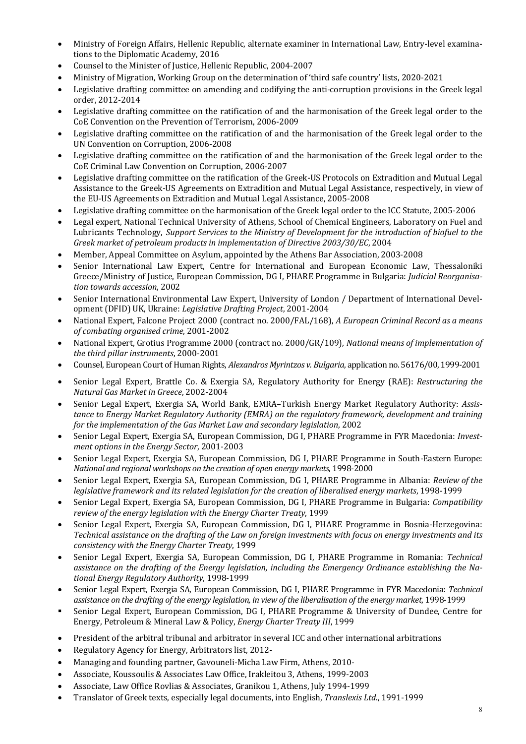- Ministry of Foreign Affairs, Hellenic Republic, alternate examiner in International Law, Entry-level examinations to the Diplomatic Academy, 2016
- Counsel to the Minister of Justice, Hellenic Republic, 2004-2007
- Ministry of Migration, Working Group on the determination of 'third safe country' lists, 2020-2021
- Legislative drafting committee on amending and codifying the anti-corruption provisions in the Greek legal order, 2012-2014
- Legislative drafting committee on the ratification of and the harmonisation of the Greek legal order to the CoE Convention on the Prevention of Terrorism, 2006-2009
- Legislative drafting committee on the ratification of and the harmonisation of the Greek legal order to the UN Convention on Corruption, 2006-2008
- Legislative drafting committee on the ratification of and the harmonisation of the Greek legal order to the CoE Criminal Law Convention on Corruption, 2006-2007
- Legislative drafting committee on the ratification of the Greek-US Protocols on Extradition and Mutual Legal Assistance to the Greek-US Agreements on Extradition and Mutual Legal Assistance, respectively, in view of the EU-US Agreements on Extradition and Mutual Legal Assistance, 2005-2008
- Legislative drafting committee on the harmonisation of the Greek legal order to the ICC Statute, 2005-2006
- Legal expert, National Technical University of Athens, School of Chemical Engineers, Laboratory on Fuel and Lubricants Technology, *Support Services to the Ministry of Development for the introduction of biofuel to the Greek market of petroleum products in implementation of Directive 2003/30/EC*, 2004
- Member, Appeal Committee on Asylum, appointed by the Athens Bar Association, 2003-2008
- Senior International Law Expert, Centre for International and European Economic Law, Thessaloniki Greece/Ministry of Justice, European Commission, DG I, PHARE Programme in Bulgaria: *Judicial Reorganisation towards accession*, 2002
- Senior International Environmental Law Expert, University of London / Department of International Development (DFID) UK, Ukraine: *Legislative Drafting Project*, 2001-2004
- National Expert, Falcone Project 2000 (contract no. 2000/FAL/168), *A European Criminal Record as a means of combating organised crime*, 2001-2002
- National Expert, Grotius Programme 2000 (contract no. 2000/GR/109), *National means of implementation of* the third pillar instruments, 2000-2001
- Counsel, European Court of Human Rights, *Alexandros Myrintzos v. Bulgaria*, application no. 56176/00, 1999-2001
- Senior Legal Expert, Brattle Co. & Exergia SA, Regulatory Authority for Energy (RAE): *Restructuring the Natural Gas Market in Greece*, 2002-2004
- Senior Legal Expert, Exergia SA, World Bank, EMRA-Turkish Energy Market Regulatory Authority: Assistance to Energy Market Regulatory Authority (EMRA) on the regulatory framework, development and training *for the implementation of the Gas Market Law and secondary legislation,* 2002
- Senior Legal Expert, Exergia SA, European Commission, DG I, PHARE Programme in FYR Macedonia: *Investment options in the Energy Sector*, 2001-2003
- Senior Legal Expert, Exergia SA, European Commission, DG I, PHARE Programme in South-Eastern Europe: *National and regional workshops on the creation of open energy markets,* 1998-2000
- Senior Legal Expert, Exergia SA, European Commission, DG I, PHARE Programme in Albania: *Review of the* legislative framework and its related legislation for the creation of liberalised energy markets, 1998-1999
- Senior Legal Expert, Exergia SA, European Commission, DG I, PHARE Programme in Bulgaria: *Compatibility* review of the energy legislation with the Energy Charter Treaty, 1999
- Senior Legal Expert, Exergia SA, European Commission, DG I, PHARE Programme in Bosnia-Herzegovina: *Technical assistance on the drafting of the Law on foreign investments with focus on energy investments and its consistency with the Energy Charter Treaty*, 1999
- Senior Legal Expert, Exergia SA, European Commission, DG I, PHARE Programme in Romania: *Technical* assistance on the drafting of the Energy legislation, including the Emergency Ordinance establishing the Na*tional Energy Regulatory Authority*, 1998-1999
- Senior Legal Expert, Exergia SA, European Commission, DG I, PHARE Programme in FYR Macedonia: *Technical* assistance on the drafting of the energy legislation, in view of the liberalisation of the energy market, 1998-1999
- Senior Legal Expert, European Commission, DG I, PHARE Programme & University of Dundee, Centre for Energy, Petroleum & Mineral Law & Policy, *Energy Charter Treaty III*, 1999
- President of the arbitral tribunal and arbitrator in several ICC and other international arbitrations
- Regulatory Agency for Energy, Arbitrators list, 2012-
- Managing and founding partner, Gavouneli-Micha Law Firm, Athens, 2010-
- Associate, Koussoulis & Associates Law Office, Irakleitou 3, Athens, 1999-2003
- Associate, Law Office Rovlias & Associates, Granikou 1, Athens, July 1994-1999
- Translator of Greek texts, especially legal documents, into English, *Translexis Ltd*., 1991-1999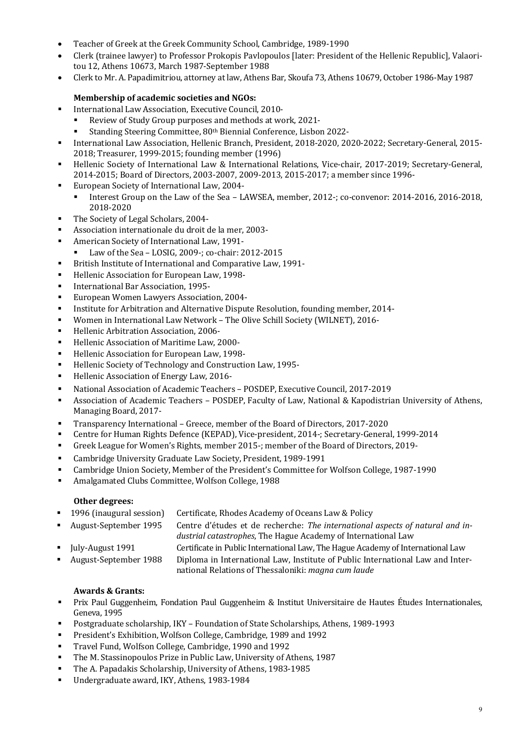- Teacher of Greek at the Greek Community School, Cambridge, 1989-1990
- Clerk (trainee lawyer) to Professor Prokopis Pavlopoulos [later: President of the Hellenic Republic], Valaoritou 12, Athens 10673, March 1987-September 1988
- Clerk to Mr. A. Papadimitriou, attorney at law, Athens Bar, Skoufa 73, Athens 10679, October 1986-May 1987

## **Membership of academic societies and NGOs:**

- International Law Association, Executive Council, 2010-
	- Review of Study Group purposes and methods at work, 2021-
	- Standing Steering Committee, 80<sup>th</sup> Biennial Conference, Lisbon 2022-
- International Law Association, Hellenic Branch, President, 2018-2020, 2020-2022; Secretary-General, 2015-2018; Treasurer, 1999-2015; founding member (1996)
- Hellenic Society of International Law & International Relations, Vice-chair, 2017-2019; Secretary-General, 2014-2015; Board of Directors, 2003-2007, 2009-2013, 2015-2017; a member since 1996-
- European Society of International Law, 2004-
	- Interest Group on the Law of the Sea LAWSEA, member, 2012-; co-convenor: 2014-2016, 2016-2018, 2018-2020
- The Society of Legal Scholars, 2004-
- Association internationale du droit de la mer, 2003-
- American Society of International Law, 1991-
	- Law of the Sea LOSIG, 2009-; co-chair: 2012-2015
- British Institute of International and Comparative Law, 1991-
- Hellenic Association for European Law, 1998-
- **EXECUTE:** International Bar Association, 1995-
- European Women Lawyers Association, 2004-
- <sup>■</sup> Institute for Arbitration and Alternative Dispute Resolution, founding member, 2014-
- Women in International Law Network The Olive Schill Society (WILNET), 2016-
- Hellenic Arbitration Association, 2006-
- Hellenic Association of Maritime Law, 2000-
- Hellenic Association for European Law, 1998-
- Hellenic Society of Technology and Construction Law, 1995-
- Hellenic Association of Energy Law, 2016-
- National Association of Academic Teachers POSDEP, Executive Council, 2017-2019
- Association of Academic Teachers POSDEP, Faculty of Law, National & Kapodistrian University of Athens, Managing Board, 2017-
- Transparency International Greece, member of the Board of Directors, 2017-2020
- Centre for Human Rights Defence (KEPAD), Vice-president, 2014-; Secretary-General, 1999-2014
- Greek League for Women's Rights, member 2015-; member of the Board of Directors, 2019-
- Cambridge University Graduate Law Society, President, 1989-1991
- Cambridge Union Society, Member of the President's Committee for Wolfson College, 1987-1990
- Amalgamated Clubs Committee, Wolfson College, 1988

### **Other degrees:**

| ■ 1996 (inaugural session)      | Certificate, Rhodes Academy of Oceans Law & Policy                                                                                             |
|---------------------------------|------------------------------------------------------------------------------------------------------------------------------------------------|
| • August-September 1995         | Centre d'études et de recherche: The international aspects of natural and in-<br>dustrial catastrophes, The Hague Academy of International Law |
| $\blacksquare$ July-August 1991 | Certificate in Public International Law, The Hague Academy of International Law                                                                |
| • August-September 1988         | Diploma in International Law, Institute of Public International Law and Inter-<br>national Relations of Thessaloniki: magna cum laude          |

### **Awards & Grants:**

- Prix Paul Guggenheim, Fondation Paul Guggenheim & Institut Universitaire de Hautes Études Internationales, Geneva, 1995
- Postgraduate scholarship, IKY Foundation of State Scholarships, Athens, 1989-1993
- President's Exhibition, Wolfson College, Cambridge, 1989 and 1992
- Travel Fund, Wolfson College, Cambridge, 1990 and 1992
- The M. Stassinopoulos Prize in Public Law, University of Athens, 1987
- The A. Papadakis Scholarship, University of Athens, 1983-1985
- Undergraduate award, IKY, Athens, 1983-1984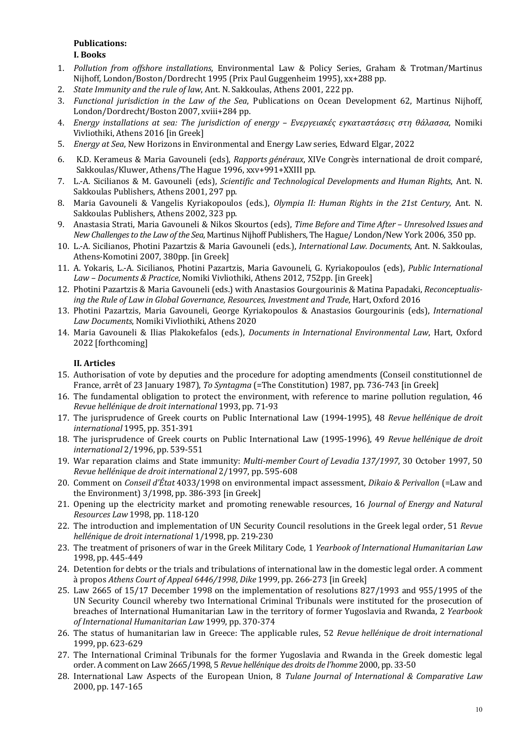# **Publications:**

#### **I. Books**

- 1. *Pollution from offshore installations*, Environmental Law & Policy Series, Graham & Trotman/Martinus Nijhoff, London/Boston/Dordrecht 1995 (Prix Paul Guggenheim 1995), xx+288 pp.
- 2. *State Immunity and the rule of law*, Ant. N. Sakkoulas, Athens 2001, 222 pp.
- 3. *Functional jurisdiction in the Law of the Sea*, Publications on Ocean Development 62, Martinus Nijhoff, London/Dordrecht/Boston 2007, xviii+284 pp.
- 4. *Energy installations at sea: The jurisdiction of energy – Ενεργειακές εγκαταστάσεις στη θάλασσα*, Nomiki Vivliothiki, Athens 2016 [in Greek]
- 5. *Energy at Sea*, New Horizons in Environmental and Energy Law series, Edward Elgar, 2022
- 6. K.D. Kerameus & Maria Gavouneli (eds), *Rapports généraux*, XIVe Congrès international de droit comparé, Sakkoulas/Kluwer, Athens/The Hague 1996, xxv+991+XXIII pp.
- 7. L.-A. Sicilianos & M. Gavouneli (eds), *Scientific and Technological Developments and Human Rights*, Ant. N. Sakkoulas Publishers, Athens 2001, 297 pp.
- 8. Maria Gavouneli & Vangelis Kyriakopoulos (eds.), *Olympia II: Human Rights in the 21st Century*, Ant. N. Sakkoulas Publishers, Athens 2002, 323 pp.
- 9. Anastasia Strati, Maria Gavouneli & Nikos Skourtos (eds), Time Before and Time After Unresolved Issues and *New Challenges to the Law of the Sea*, Martinus Nijhoff Publishers, The Hague/ London/New York 2006, 350 pp.
- 10. L.-A. Sicilianos, Photini Pazartzis & Maria Gavouneli (eds.), *International Law. Documents*, Ant. N. Sakkoulas, Athens-Komotini 2007, 380pp. [in Greek]
- 11. A. Yokaris, L.-A. Sicilianos, Photini Pazartzis, Maria Gavouneli, G. Kyriakopoulos (eds), *Public International*  Law - Documents & Practice, Nomiki Vivliothiki, Athens 2012, 752pp. [in Greek]
- 12. Photini Pazartzis & Maria Gavouneli (eds.) with Anastasios Gourgourinis & Matina Papadaki, *Reconceptualis*ing the Rule of Law in Global Governance, Resources, Investment and Trade, Hart, Oxford 2016
- 13. Photini Pazartzis, Maria Gavouneli, George Kyriakopoulos & Anastasios Gourgourinis (eds), *International* Law Documents, Nomiki Vivliothiki, Athens 2020
- 14. Maria Gavouneli & Ilias Plakokefalos (eds.), *Documents in International Environmental Law*, Hart, Oxford 2022 [forthcoming]

### **II. Αrticles**

- 15. Authorisation of vote by deputies and the procedure for adopting amendments (Conseil constitutionnel de France, arrêt of 23 January 1987), *To Syntagma* (=The Constitution) 1987, pp. 736-743 [in Greek]
- 16. The fundamental obligation to protect the environment, with reference to marine pollution regulation, 46 *Revue hellénique de droit international* 1993, pp. 71-93
- 17. The jurisprudence of Greek courts on Public International Law (1994-1995), 48 *Revue hellénique de droit international* 1995, pp. 351-391
- 18. The jurisprudence of Greek courts on Public International Law (1995-1996), 49 Revue hellénique de droit *international* 2/1996, pp. 539-551
- 19. War reparation claims and State immunity: *Multi-member Court of Levadia* 137/1997, 30 October 1997, 50 *Revue hellénique de droit international* 2/1997, pp. 595-608
- 20. Comment on *Conseil d'État* 4033/1998 on environmental impact assessment, *Dikaio & Perivallon* (=Law and the Environment)  $3/1998$ , pp. 386-393 [in Greek]
- 21. Opening up the electricity market and promoting renewable resources, 16 *Journal of Energy and Natural Resources Law* 1998, pp. 118-120
- 22. The introduction and implementation of UN Security Council resolutions in the Greek legal order, 51 *Revue hellénique de droit international* 1/1998, pp. 219-230
- 23. The treatment of prisoners of war in the Greek Military Code, 1 *Yearbook of International Humanitarian Law* 1998, pp. 445-449
- 24. Detention for debts or the trials and tribulations of international law in the domestic legal order. A comment à propos Athens Court of Appeal 6446/1998, Dike 1999, pp. 266-273 [in Greek]
- 25. Law 2665 of  $15/17$  December 1998 on the implementation of resolutions  $827/1993$  and  $955/1995$  of the UN Security Council whereby two International Criminal Tribunals were instituted for the prosecution of breaches of International Humanitarian Law in the territory of former Yugoslavia and Rwanda, 2 Yearbook of International Humanitarian Law 1999, pp. 370-374
- 26. The status of humanitarian law in Greece: The applicable rules, 52 *Revue hellénique de droit international* 1999, pp. 623-629
- 27. The International Criminal Tribunals for the former Yugoslavia and Rwanda in the Greek domestic legal order. A comment on Law 2665/1998, 5 *Revue hellénique des droits de l'homme* 2000, pp. 33-50
- 28. International Law Aspects of the European Union, 8 *Tulane Journal of International & Comparative Law* 2000, pp. 147-165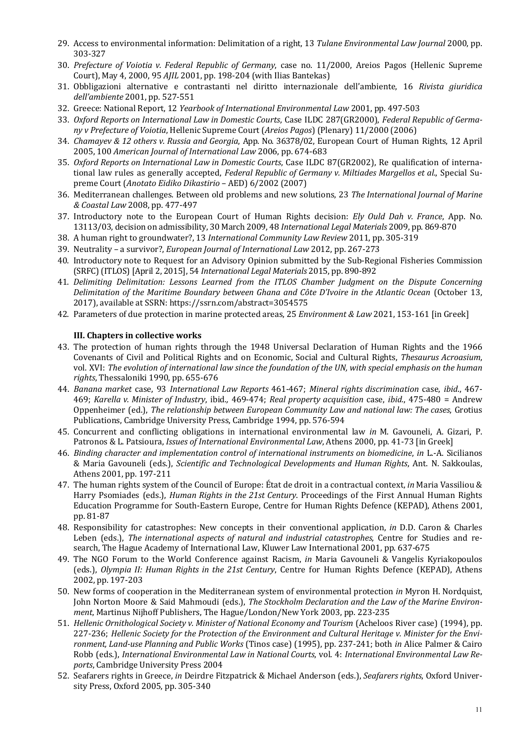- 29. Access to environmental information: Delimitation of a right, 13 *Tulane Environmental Law Journal* 2000, pp. 303-327
- 30. *Prefecture of Voiotia v. Federal Republic of Germany*, case no. 11/2000, Areios Pagos (Hellenic Supreme Court), May 4, 2000, 95 *AJIL* 2001, pp. 198-204 (with Ilias Bantekas)
- 31. Obbligazioni alternative e contrastanti nel diritto internazionale dell'ambiente, 16 *Rivista giuridica dell'ambiente* 2001, pp. 527-551
- 32. Greece: National Report, 12 *Yearbook of International Environmental Law* 2001, pp. 497-503
- 33. Oxford Reports on International Law in Domestic Courts, Case ILDC 287(GR2000), *Federal Republic of Germany v Prefecture of Voiotia*, Hellenic Supreme Court (*Areios Pagos*) (Plenary) 11/2000 (2006)
- 34. *Chamayev & 12 others v. Russia and Georgia*, App. No. 36378/02, European Court of Human Rights, 12 April 2005, 100 American Journal of International Law 2006, pp. 674-683
- 35. *Oxford Reports on International Law in Domestic Courts*, Case ILDC 87(GR2002), Re qualification of international law rules as generally accepted, *Federal Republic of Germany v. Miltiades Margellos et al.*, Special Supreme Court (*Anotato Eidiko Dikastirio* – AED) 6/2002 (2007)
- 36. Mediterranean challenges. Between old problems and new solutions, 23 The International Journal of Marine *& Coastal Law* 2008, pp. 477-497
- 37. Introductory note to the European Court of Human Rights decision: *Ely Ould Dah v. France*, App. No. 13113/03, decision on admissibility, 30 March 2009, 48 *International Legal Materials* 2009, pp. 869-870
- 38. A human right to groundwater?, 13 International Community Law Review 2011, pp. 305-319
- 39. Neutrality a survivor?, *European Journal of International Law* 2012, pp. 267-273
- 40. Introductory note to Request for an Advisory Opinion submitted by the Sub-Regional Fisheries Commission (SRFC) (ITLOS) [April 2, 2015], 54 *International Legal Materials* 2015, pp. 890-892
- 41. Delimiting Delimitation: Lessons Learned from the ITLOS Chamber Judgment on the Dispute Concerning *Delimitation of the Maritime Boundary between Ghana and Côte D'Ivoire in the Atlantic Ocean* (October 13, 2017), available at SSRN: https://ssrn.com/abstract=3054575
- 42. Parameters of due protection in marine protected areas, 25 *Environment & Law* 2021, 153-161 [in Greek]

#### **III.** Chapters in collective works

- 43. The protection of human rights through the 1948 Universal Declaration of Human Rights and the 1966 Covenants of Civil and Political Rights and on Economic, Social and Cultural Rights, *Thesaurus Acroasium*, vol. XVI: The evolution of international law since the foundation of the UN, with special emphasis on the human rights, Thessaloniki 1990, pp. 655-676
- 44. *Banana market* case, 93 *International Law Reports* 461-467; *Mineral rights discrimination* case, *ibid*., 467- 469; *Karella v. Minister of Industry*, ibid*.,* 469-474; *Real property acquisition* case, *ibid.*, 475-480 = Andrew Oppenheimer (ed.), *The relationship between European Community Law and national law: The cases*, Grotius Publications, Cambridge University Press, Cambridge 1994, pp. 576-594
- 45. Concurrent and conflicting obligations in international environmental law *in* M. Gavouneli, A. Gizari, P. Patronos & L. Patsioura, *Issues of International Environmental Law*, Athens 2000, pp. 41-73 [in Greek]
- 46. *Binding character and implementation control of international instruments on biomedicine, in L.-A. Sicilianos* & Maria Gavouneli (eds.), *Scientific and Technological Developments and Human Rights*, Ant. N. Sakkoulas, Athens 2001, pp. 197-211
- 47. The human rights system of the Council of Europe: État de droit in a contractual context, *in* Maria Vassiliou & Harry Psomiades (eds.), *Human Rights in the 21st Century*. Proceedings of the First Annual Human Rights Education Programme for South-Eastern Europe, Centre for Human Rights Defence (KEPAD), Athens 2001, pp. 81-87
- 48. Responsibility for catastrophes: New concepts in their conventional application, *in* D.D. Caron & Charles Leben (eds.), *The international aspects of natural and industrial catastrophes*, Centre for Studies and research, The Hague Academy of International Law, Kluwer Law International 2001, pp. 637-675
- 49. The NGO Forum to the World Conference against Racism, *in* Maria Gavouneli & Vangelis Kyriakopoulos (eds.), *Olympia II: Human Rights in the 21st Century*, Centre for Human Rights Defence (KEPAD), Athens 2002, pp. 197-203
- 50. New forms of cooperation in the Mediterranean system of environmental protection *in* Myron H. Nordquist, John Norton Moore & Said Mahmoudi (eds.), The Stockholm Declaration and the Law of the Marine Environment, Martinus Nijhoff Publishers, The Hague/London/New York 2003, pp. 223-235
- 51. *Hellenic Ornithological Society v. Minister of National Economy and Tourism* (Acheloos River case) (1994), pp. 227-236; Hellenic Society for the Protection of the Environment and Cultural Heritage v. Minister for the Envi*ronment, Land-use Planning and Public Works* (Tinos case) (1995), pp. 237-241; both *in* Alice Palmer & Cairo Robb (eds.), *International Environmental Law in National Courts*, vol. 4: *International Environmental Law Re*ports, Cambridge University Press 2004
- 52. Seafarers rights in Greece, *in* Deirdre Fitzpatrick & Michael Anderson (eds.), Seafarers rights, Oxford University Press, Oxford 2005, pp. 305-340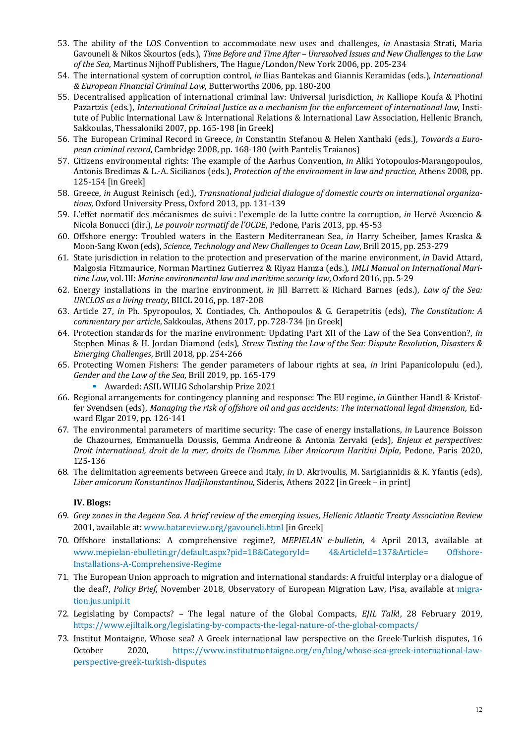- 53. The ability of the LOS Convention to accommodate new uses and challenges, *in* Anastasia Strati, Maria Gavouneli & Nikos Skourtos (eds.), Time Before and Time After - Unresolved Issues and New Challenges to the Law of the Sea, Martinus Nijhoff Publishers, The Hague/London/New York 2006, pp. 205-234
- 54. The international system of corruption control, *in* Ilias Bantekas and Giannis Keramidas (eds.), *International & European Financial Criminal Law*, Butterworths 2006, pp. 180-200
- 55. Decentralised application of international criminal law: Universal jurisdiction, *in* Kalliope Koufa & Photini Pazartzis (eds.), *International Criminal Justice as a mechanism for the enforcement of international law*, Institute of Public International Law & International Relations & International Law Association, Hellenic Branch, Sakkoulas, Thessaloniki 2007, pp. 165-198 [in Greek]
- 56. The European Criminal Record in Greece, *in* Constantin Stefanou & Helen Xanthaki (eds.), Towards a Euro*pean criminal record*, Cambridge 2008, pp. 168-180 (with Pantelis Traianos)
- 57. Citizens environmental rights: The example of the Aarhus Convention, *in* Aliki Yotopoulos-Marangopoulos, Antonis Bredimas & L.-A. Sicilianos (eds.), *Protection of the environment in law and practice*, Athens 2008, pp. 125-154 [in Greek]
- 58. Greece, in August Reinisch (ed.), *Transnational judicial dialogue of domestic courts on international organiza*tions, Oxford University Press, Oxford 2013, pp. 131-139
- 59. L'effet normatif des mécanismes de suivi : l'exemple de la lutte contre la corruption, *in* Hervé Ascencio & Nicola Bonucci (dir.), *Le pouvoir normatif de l'OCDE*, Pedone, Paris 2013, pp. 45-53
- 60. Offshore energy: Troubled waters in the Eastern Mediterranean Sea, *in* Harry Scheiber, James Kraska & Moon-Sang Kwon (eds), *Science, Technology and New Challenges to Ocean Law*, Brill 2015, pp. 253-279
- 61. State jurisdiction in relation to the protection and preservation of the marine environment, *in* David Attard, Malgosia Fitzmaurice, Norman Martinez Gutierrez & Riyaz Hamza (eds.), *IMLI Manual on International Mari*time Law, vol. III: Marine environmental law and maritime security law, Oxford 2016, pp. 5-29
- 62. Energy installations in the marine environment, *in* Jill Barrett & Richard Barnes (eds.), *Law of the Sea: UNCLOS as a living treaty*, BIICL 2016, pp. 187-208
- 63. Article 27, *in* Ph. Spyropoulos, X. Contiades, Ch. Anthopoulos & G. Gerapetritis (eds), *The Constitution: A commentary per article*, Sakkoulas, Athens 2017, pp. 728-734 [in Greek]
- 64. Protection standards for the marine environment: Updating Part XII of the Law of the Sea Convention?, *in* Stephen Minas & H. Jordan Diamond (eds), *Stress Testing the Law of the Sea: Dispute Resolution, Disasters & Emerging Challenges*, Brill 2018, pp. 254-266
- 65. Protecting Women Fishers: The gender parameters of labour rights at sea, *in* Irini Papanicolopulu (ed.), Gender and the Law of the Sea, Brill 2019, pp. 165-179
	- Awarded: ASIL WILIG Scholarship Prize 2021
- 66. Regional arrangements for contingency planning and response: The EU regime, *in* Günther Handl & Kristoffer Svendsen (eds), Managing the risk of offshore oil and gas accidents: The international legal dimension, Edward Elgar 2019, pp. 126-141
- 67. The environmental parameters of maritime security: The case of energy installations, *in* Laurence Boisson de Chazournes, Emmanuella Doussis, Gemma Andreone & Antonia Zervaki (eds), *Enjeux et perspectives: Droit international, droit de la mer, droits de l'homme. Liber Amicorum Haritini Dipla*, Pedone, Paris 2020, 125-136
- 68. The delimitation agreements between Greece and Italy, *in* D. Akrivoulis, M. Sarigiannidis & K. Yfantis (eds), *Liber amicorum Konstantinos Hadjikonstantinou*, Sideris, Athens 2022 [in Greek – in print]

### **IV. Blogs:**

- 69. Grey zones in the Aegean Sea. A brief review of the emerging issues, Hellenic Atlantic Treaty Association Review 2001, available at: www.hatareview.org/gavouneli.html [in Greek]
- 70. Offshore installations: A comprehensive regime?, *MEPIELAN e-bulletin*, 4 April 2013, available at www.mepielan-ebulletin.gr/default.aspx?pid=18&CategoryId= 4&ArticleId=137&Article= Offshore-Installations-A-Comprehensive-Regime
- 71. The European Union approach to migration and international standards: A fruitful interplay or a dialogue of the deaf?, *Policy Brief*, November 2018, Observatory of European Migration Law, Pisa, available at migration.jus.unipi.it
- 72. Legislating by Compacts? The legal nature of the Global Compacts, *EJIL Talk*!, 28 February 2019, https://www.ejiltalk.org/legislating-by-compacts-the-legal-nature-of-the-global-compacts/
- 73. Institut Montaigne, Whose sea? A Greek international law perspective on the Greek-Turkish disputes, 16 October 2020, https://www.institutmontaigne.org/en/blog/whose-sea-greek-international-lawperspective-greek-turkish-disputes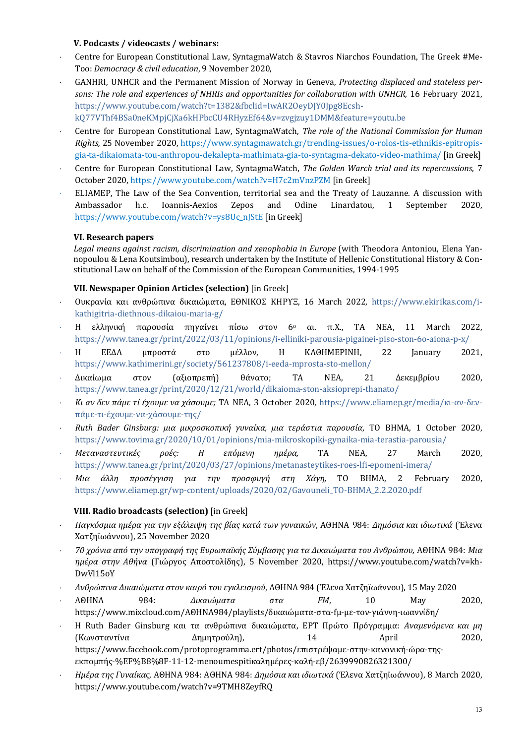### **V. Podcasts / videocasts / webinars:**

- Centre for European Constitutional Law, SyntagmaWatch & Stavros Niarchos Foundation, The Greek #Me-Too: *Democracy & civil education*, 9 November 2020,
- GANHRI, UNHCR and the Permanent Mission of Norway in Geneva, *Protecting displaced and stateless per*sons: The role and experiences of NHRIs and opportunities for collaboration with UNHCR, 16 February 2021, https://www.youtube.com/watch?t=1382&fbclid=IwAR2OeyDJY0Jpg8Ecsh-

kQ77VThf4BSa0neKMpjCjXa6kHPbcCU4RHyzEf64&v=zvgjzuy1DMM&feature=youtu.be

- Centre for European Constitutional Law, SyntagmaWatch, *The role of the National Commission for Human Rights,* 25 November 2020, https://www.syntagmawatch.gr/trending-issues/o-rolos-tis-ethnikis-epitropisgia-ta-dikaiomata-tou-anthropou-dekalepta-mathimata-gia-to-syntagma-dekato-video-mathima/ [in Greek]
- Centre for European Constitutional Law, SyntagmaWatch, *The Golden Warch trial and its repercussions*, 7 October 2020, https://www.youtube.com/watch?v=H7c2mVnzPZM [in Greek]
- ELIAMEP. The Law of the Sea Convention, territorial sea and the Treaty of Lauzanne. A discussion with Ambassador h.c. Ioannis-Aexios Zepos and Odine Linardatou, 1 September 2020, https://www.youtube.com/watch?v=ys8Uc\_nJStE [in Greek]

#### **VI. Research papers**

Legal means against racism, discrimination and xenophobia in Europe (with Theodora Antoniou, Elena Yannopoulou & Lena Koutsimbou), research undertaken by the Institute of Hellenic Constitutional History & Constitutional Law on behalf of the Commission of the European Communities, 1994-1995

### **VII. Newspaper Opinion Articles (selection)** [in Greek]

- Ουκρανία και ανθρώπινα δικαιώματα, ΕΘΝΙΚΟΣ ΚΗΡΥΞ, 16 March 2022, https://www.ekirikas.com/ikathigitria-diethnous-dikaiou-maria-g/
- Η ελληνική παρουσία πηγαίνει πίσω στον 6<sup>ο</sup> αι. π.Χ., ΤΑ ΝΕΑ, 11 March 2022, https://www.tanea.gr/print/2022/03/11/opinions/i-elliniki-parousia-pigainei-piso-ston-6o-aiona-p-x/
- Η ΕΕΔΑ μπροστά στο μέλλον, Η ΚΑΘΗΜΕΡΙΝΗ, 22 January 2021, https://www.kathimerini.gr/society/561237808/i-eeda-mprosta-sto-mellon/
- × Δικαίωμα στον (αξιοπρεπή) θάνατο; ΤΑ ΝΕΑ, 21 Δεκεμβρίου 2020, https://www.tanea.gr/print/2020/12/21/world/dikaioma-ston-aksioprepi-thanato/
- × *Κι αν δεν πάμε τί έχουμε να χάσουμε;* ΤΑ ΝΕΑ, 3 October 2020, https://www.eliamep.gr/media/κι-αν-δενπάμε-τι-έχουμε-να-χάσουμε-της/
- × *Ruth Bader Ginsburg: μια μικροσκοπική γυναίκα, μια τεράστια παρουσία*, ΤΟ ΒΗΜΑ, 1 October 2020, https://www.tovima.gr/2020/10/01/opinions/mia-mikroskopiki-gynaika-mia-terastia-parousia/
- × *Μεταναστευτικές ροές: Η επόμενη ημέρα,*  ΤΑ ΝΕΑ, 27 March 2020, https://www.tanea.gr/print/2020/03/27/opinions/metanasteytikes-roes-lfi-epomeni-imera/
- × *Μια άλλη προσέγγιση για την προσφυγή στη Χάγη,*  ΤΟ ΒΗΜΑ, 2 February 2020, https://www.eliamep.gr/wp-content/uploads/2020/02/Gavouneli\_ΤΟ-ΒΗΜΑ\_2.2.2020.pdf

#### **VIII. Radio broadcasts (selection)** [in Greek]

- × *Παγκόσμια ημέρα για την εξάλειψη της βίας κατά των γυναικών*, ΑΘΗΝΑ 984: *Δημόσια και ιδιωτικά* (Έλενα Χατζηϊωάννου), 25 November 2020
- × *70 χρόνια από την υπογραφή της Ευρωπαϊκής Σύμβασης για τα Δικαιώματα του Ανθρώπου,* ΑΘΗΝΑ 984: *Μια ημέρα στην Αθήνα* (Γιώργος Αποστολίδης), 5 November 2020, https://www.youtube.com/watch?v=kh-DwVl15oY
- × *Ανθρώπινα Δικαιώματα στον καιρό του εγκλεισμού*, ΑΘΗΝΑ 984 (Έλενα Χατζηϊωάννου), 15 May 2020
- × ΑΘΗΝΑ 984: *Δικαιώματα στα FM*, 10 May 2020, https://www.mixcloud.com/ΑΘΗΝΑ984/playlists/δικαιώματα-στα-fμ-με-τον-γιάννη-ιωαννίδη/
- Η Ruth Bader Ginsburg και τα ανθρώπινα δικαιώματα, ΕΡΤ Πρώτο Πρόγραμμα: *Αναμενόμενα και μη* (Κωνσταντίνα Δημητρούλη), 14 April 2020, https://www.facebook.com/protoprogramma.ert/photos/επιστρέψαμε-στην-κανονική-ώρα-τηςεκπομπής-%EF%B8%8F-11-12-menoumespitiκαλημέρες-καλή-εβ/2639990826321300/
- × *Ημέρα της Γυναίκας*, ΑΘΗΝΑ 984: ΑΘΗΝΑ 984: *Δημόσια και ιδιωτικά* (Έλενα Χατζηϊωάννου), 8 March 2020, https://www.youtube.com/watch?v=9TMH8ZeyfRQ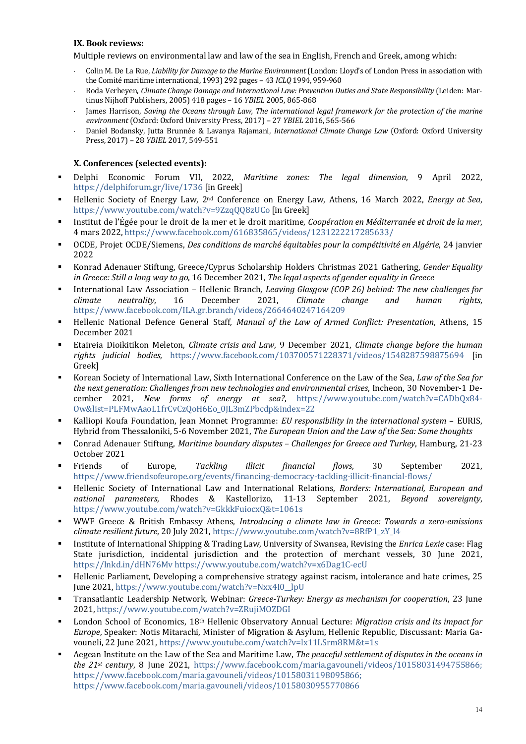#### **IX. Book reviews:**

Multiple reviews on environmental law and law of the sea in English, French and Greek, among which:

- Colin M. De La Rue, *Liability for Damage to the Marine Environment* (London: Lloyd's of London Press in association with the Comité maritime international, 1993) 292 pages - 43 *ICLQ* 1994, 959-960
- × Roda Verheyen, *Climate Change Damage and International Law: Prevention Duties and State Responsibility* (Leiden: Martinus Nijhoff Publishers, 2005) 418 pages - 16 *YBIEL* 2005, 865-868
- James Harrison, Saving the Oceans through Law, The international legal framework for the protection of the marine *environment* (Oxford: Oxford University Press, 2017) – 27 *YBIEL* 2016, 565-566
- Daniel Bodansky, Jutta Brunnée & Lavanya Rajamani, *International Climate Change Law* (Oxford: Oxford University Press, 2017) - 28 *YBIEL* 2017, 549-551

#### **X. Conferences (selected events):**

- § Delphi Economic Forum VII, 2022, *Maritime zones: The legal dimension*, 9 April 2022, https://delphiforum.gr/live/1736 [in Greek]
- **•** Hellenic Society of Energy Law, 2<sup>nd</sup> Conference on Energy Law, Athens, 16 March 2022, *Energy at Sea*, https://www.youtube.com/watch?v=9ZzqQQ8zUCo [in Greek]
- Institut de l'Égée pour le droit de la mer et le droit maritime, *Coopération en Méditerranée et droit de la mer*, 4 mars 2022, https://www.facebook.com/616835865/videos/1231222217285633/
- OCDE, Projet OCDE/Siemens, *Des conditions de marché équitables pour la compétitivité en Algérie*, 24 janvier 2022
- Konrad Adenauer Stiftung, Greece/Cyprus Scholarship Holders Christmas 2021 Gathering, *Gender Equality in Greece: Still a long way to go, 16 December 2021, The legal aspects of gender equality in Greece*
- International Law Association Hellenic Branch, *Leaving Glasgow (COP 26) behind: The new challenges for climate neutrality*, 16 December 2021, *Climate change and human rights*, https://www.facebook.com/ILA.gr.branch/videos/2664640247164209
- Hellenic National Defence General Staff, *Manual of the Law of Armed Conflict: Presentation*, Athens, 15 December 2021
- Etaireia Dioikitikon Meleton, *Climate crisis and Law*, 9 December 2021, *Climate change before the human rights judicial bodies*, https://www.facebook.com/103700571228371/videos/1548287598875694 [in Greek]
- Korean Society of International Law, Sixth International Conference on the Law of the Sea, *Law of the Sea for the next generation: Challenges from new technologies and environmental crises*, Incheon, 30 November-1 December 2021, *New forms of energy at sea?*, https://www.youtube.com/watch?v=CADbQx84-Ow&list=PLFMwAaoL1frCvCzQoH6Eo\_0JL3mZPbcdp&index=22
- Kalliopi Koufa Foundation, Jean Monnet Programme: *EU responsibility in the international system* EURIS, Hybrid from Thessaloniki, 5-6 November 2021, *The European Union and the Law of the Sea: Some thoughts*
- § Conrad Adenauer Stiftung, *Maritime boundary disputes – Challenges for Greece and Turkey*, Hamburg, 21-23 October 2021
- § Friends of Europe, *Tackling illicit financial flows*, 30 September 2021, https://www.friendsofeurope.org/events/financing-democracy-tackling-illicit-financial-flows/
- Hellenic Society of International Law and International Relations, *Borders: International, European and national parameters*, Rhodes & Kastellorizo, 11-13 September 2021, *Beyond sovereignty*, https://www.youtube.com/watch?v=GkkkFuiocxQ&t=1061s
- WWF Greece & British Embassy Athens, *Introducing a climate law in Greece: Towards a zero-emissions climate resilient future*, 20 July 2021, https://www.youtube.com/watch?v=8RfP1\_zY\_l4
- Institute of International Shipping & Trading Law, University of Swansea, Revising the *Enrica Lexie* case: Flag State jurisdiction, incidental jurisdiction and the protection of merchant vessels, 30 June 2021, https://lnkd.in/dHN76Mv https://www.youtube.com/watch?v=x6Dag1C-ecU
- Hellenic Parliament, Developing a comprehensive strategy against racism, intolerance and hate crimes, 25 June 2021, https://www.youtube.com/watch?v=Nxx4I0\_lpU
- Transatlantic Leadership Network, Webinar: *Greece-Turkey: Energy as mechanism for cooperation*, 23 June 2021, https://www.youtube.com/watch?v=ZRujiMOZDGI
- London School of Economics, 18<sup>th</sup> Hellenic Observatory Annual Lecture: *Migration crisis and its impact for Europe*, Speaker: Notis Mitarachi, Minister of Migration & Asylum, Hellenic Republic, Discussant: Maria Gavouneli, 22 June 2021, https://www.youtube.com/watch?v=lx11LSrm8RM&t=1s
- Aegean Institute on the Law of the Sea and Maritime Law, *The peaceful settlement of disputes in the oceans in the* 21<sup>st</sup> *century*, **8** June 2021, https://www.facebook.com/maria.gavouneli/videos/10158031494755866; https://www.facebook.com/maria.gavouneli/videos/10158031198095866; https://www.facebook.com/maria.gavouneli/videos/10158030955770866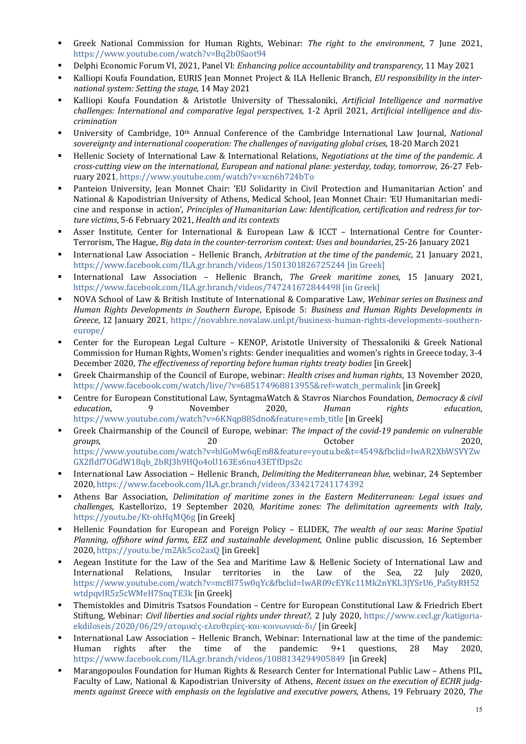- Greek National Commission for Human Rights, Webinar: *The right to the environment*, 7 June 2021, https://www.youtube.com/watch?v=Bq2b0Saot94
- Delphi Economic Forum VI, 2021, Panel VI: *Enhancing police accountability and transparency*, 11 May 2021
- Kalliopi Koufa Foundation, EURIS Jean Monnet Project & ILA Hellenic Branch, *EU responsibility in the international system: Setting the stage*, 14 May 2021
- **•** Kalliopi Koufa Foundation & Aristotle University of Thessaloniki, Artificial Intelligence and normative challenges: International and comparative legal perspectives, 1-2 April 2021, Artificial intelligence and dis*crimination*
- University of Cambridge, 10<sup>th</sup> Annual Conference of the Cambridge International Law Journal, *National* sovereignty and international cooperation: The challenges of navigating global crises, 18-20 March 2021
- Hellenic Society of International Law & International Relations, *Negotiations at the time of the pandemic. A cross-cutting view on the international, European and national plane: yesterday, today, tomorrow*, 26-27 February 2021, https://www.youtube.com/watch?v=xcn6h724bTo
- Panteion University, Jean Monnet Chair: 'EU Solidarity in Civil Protection and Humanitarian Action' and National & Kapodistrian University of Athens, Medical School, Jean Monnet Chair: 'EU Humanitarian medicine and response in action', *Principles of Humanitarian Law: Identification, certification and redress for torture victims*, 5-6 February 2021, *Health and its contexts*
- Asser Institute, Center for International & European Law & ICCT International Centre for Counter-Terrorism, The Hague, *Big data in the counter-terrorism context: Uses and boundaries*, 25-26 January 2021
- International Law Association Hellenic Branch, *Arbitration at the time of the pandemic*, 21 January 2021, https://www.facebook.com/ILA.gr.branch/videos/1501301826725244 [in Greek]
- § International Law Association Hellenic Branch, *The Greek maritime zones*, 15 January 2021, https://www.facebook.com/ILA.gr.branch/videos/747241672844498 [in Greek]
- NOVA School of Law & British Institute of International & Comparative Law, Webinar series on Business and *Human Rights Developments in Southern Europe*, *Episode* 5: *Business and Human Rights Developments in* Greece, 12 January 2021, https://novabhre.novalaw.unl.pt/business-human-rights-developments-southerneurope/
- Center for the European Legal Culture KENOP, Aristotle University of Thessaloniki & Greek National Commission for Human Rights, Women's rights: Gender inequalities and women's rights in Greece today, 3-4 December 2020, *The effectiveness of reporting before human rights treaty bodies* [in Greek]
- Greek Chairmanship of the Council of Europe, webinar: *Health crises and human rights*, 13 November 2020, https://www.facebook.com/watch/live/?v=685174968813955&ref=watch\_permalink [in Greek]
- Centre for European Constitutional Law, SyntagmaWatch & Stavros Niarchos Foundation, *Democracy & civil education*, 9 November 2020, *Human rights education*, https://www.youtube.com/watch?v=6KNqp88Sdno&feature=emb\_title [in Greek]
- Greek Chairmanship of the Council of Europe, webinar: *The impact of the covid-19 pandemic on vulnerable groups*, 20 20 20 20 20 2020, https://www.youtube.com/watch?v=hlGoMw6qEm8&feature=youtu.be&t=4549&fbclid=IwAR2XbWSVYZw GX2fIdf7OGdW18qb\_2bRJ3h9HQo4oU163Es6nu43ETfDps2c
- International Law Association Hellenic Branch, *Delimiting the Mediterranean blue*, webinar, 24 September 2020, https://www.facebook.com/ILA.gr.branch/videos/334217241174392
- Athens Bar Association, *Delimitation of maritime zones in the Eastern Mediterranean: Legal issues and challenges*, Kastellorizo, 19 September 2020, *Maritime zones: The delimitation agreements with Italy*, https://youtu.be/Kt-ohHqMQ6g [in Greek]
- Hellenic Foundation for European and Foreign Policy ELIDEK, The wealth of our seas: Marine Spatial *Planning, offshore wind farms, EEZ and sustainable development, Online public discussion, 16 September* 2020, https://youtu.be/m2Ak5co2axQ [in Greek]
- Aegean Institute for the Law of the Sea and Maritime Law & Hellenic Society of International Law and International Relations, Insular territories in the Law of the Sea, 22 July 2020, https://www.youtube.com/watch?v=mc8l75w0qYc&fbclid=IwAR09cEYKc11Mk2nYKL3JYSrU6\_Pa5tyRH52 wtdpqvlR5z5cWMeH7SnqTE3k [in Greek]
- Themistokles and Dimitris Tsatsos Foundation Centre for European Constitutional Law & Friedrich Ebert Stiftung, Webinar: *Civil liberties and social rights under threat?*, 2 July 2020, https://www.cecl.gr/katigoriaekdiloseis/2020/06/29/ατομικές-ελευθερίες-και-κοινωνικά-δι/ [in Greek]
- International Law Association Hellenic Branch, Webinar: International law at the time of the pandemic: Human rights after the time of the pandemic:  $9+1$  questions, 28 May 2020, https://www.facebook.com/ILA.gr.branch/videos/1088134294905849 [in Greek]
- Marangopoulos Foundation for Human Rights & Research Center for International Public Law Athens PIL, Faculty of Law, National & Kapodistrian University of Athens, *Recent issues on the execution of ECHR judgments against Greece with emphasis on the legislative and executive powers*, Athens, 19 February 2020, *The*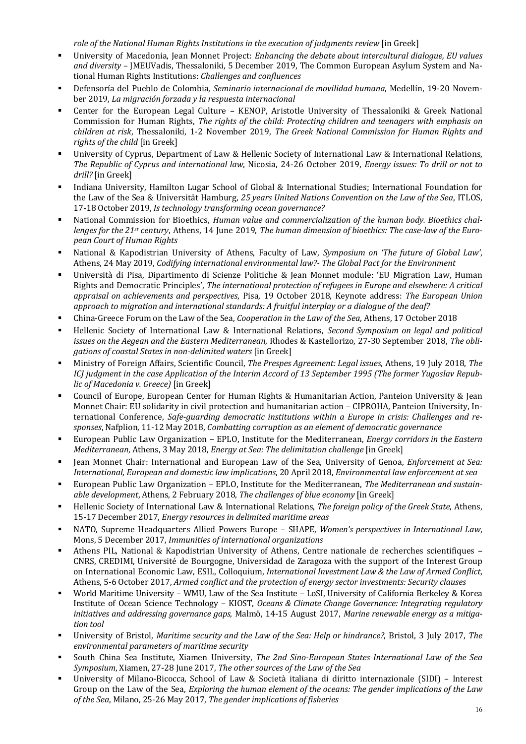role of the National Human Rights Institutions in the execution of judgments review [in Greek]

- University of Macedonia, Iean Monnet Project: *Enhancing the debate about intercultural dialogue, EU values* and diversity – JMEUVadis, Thessaloniki, 5 December 2019, The Common European Asylum System and National Human Rights Institutions: *Challenges and confluences*
- Defensoría del Pueblo de Colombia, *Seminario internacional de movilidad humana*, Medellín, 19-20 November 2019, *La migración forzada y la respuesta internacional*
- Center for the European Legal Culture KENOP, Aristotle University of Thessaloniki & Greek National Commission for Human Rights, *The rights of the child: Protecting children and teenagers with emphasis on children at risk*, Thessaloniki, 1-2 November 2019, *The Greek National Commission for Human Rights and rights of the child* [in Greek]
- University of Cyprus, Department of Law & Hellenic Society of International Law & International Relations, *The Republic of Cyprus and international law, Nicosia, 24-26 October 2019, Energy issues: To drill or not to drill?* [in Greek]
- Indiana University, Hamilton Lugar School of Global & International Studies; International Foundation for the Law of the Sea & Universität Hamburg, 25 years United Nations Convention on the Law of the Sea, ITLOS, 17-18 October 2019, *Is technology transforming ocean governance?*
- National Commission for Bioethics, *Human value and commercialization of the human body. Bioethics chal*lenges for the 21<sup>st</sup> century, Athens, 14 June 2019, *The human dimension of bioethics: The case-law of the European Court of Human Rights*
- National & Kapodistrian University of Athens, Faculty of Law, *Symposium on 'The future of Global Law'*, Athens, 24 May 2019, *Codifying international environmental law?- The Global Pact for the Environment*
- Università di Pisa, Dipartimento di Scienze Politiche & Jean Monnet module: 'EU Migration Law, Human Rights and Democratic Principles', *The international protection of refugees in Europe and elsewhere: A critical* appraisal on achievements and perspectives, Pisa, 19 October 2018, Keynote address: The European Union approach to migration and international standards: A fruitful interplay or a dialogue of the deaf?
- China-Greece Forum on the Law of the Sea, *Cooperation in the Law of the Sea*, Athens, 17 October 2018
- Hellenic Society of International Law & International Relations, *Second Symposium on legal and political* issues on the Aegean and the Eastern Mediterranean, Rhodes & Kastellorizo, 27-30 September 2018, The obli*gations of coastal States in non-delimited waters* [in Greek]
- § Ministry of Foreign Affairs, Scientific Council, *The Prespes Agreement: Legal issues*, Athens, 19 July 2018, *The ICJ* judgment in the case Application of the Interim Accord of 13 September 1995 (The former Yugoslav Repub*lic of Macedonia v. Greece*) [in Greek]
- Council of Europe, European Center for Human Rights & Humanitarian Action, Panteion University & Jean Monnet Chair: EU solidarity in civil protection and humanitarian action – CIPROHA, Panteion University, International Conference, Safe-guarding democratic institutions within a Europe in crisis: Challenges and responses, Nafplion, 11-12 May 2018, *Combatting corruption as an element of democratic governance*
- European Public Law Organization EPLO, Institute for the Mediterranean, *Energy corridors in the Eastern Mediterranean*, Athens, 3 May 2018, *Energy at Sea: The delimitation challenge* [in Greek]
- Jean Monnet Chair: International and European Law of the Sea, University of Genoa, *Enforcement at Sea: International, European and domestic law implications,* 20 April 2018, *Environmental law enforcement at sea*
- European Public Law Organization EPLO, Institute for the Mediterranean, The Mediterranean and sustain*able development*, Athens, 2 February 2018, *The challenges of blue economy* [in Greek]
- Hellenic Society of International Law & International Relations, *The foreign policy of the Greek State*, Athens, 15-17 December 2017, *Energy resources in delimited maritime areas*
- NATO, Supreme Headquarters Allied Powers Europe SHAPE, *Women's perspectives in International Law*, Mons, 5 December 2017, *Immunities of international organizations*
- Athens PIL, National & Kapodistrian University of Athens, Centre nationale de recherches scientifiques CNRS, CREDIMI, Université de Bourgogne, Universidad de Zaragoza with the support of the Interest Group on International Economic Law, ESIL, Colloquium, *International Investment Law & the Law of Armed Conflict*, Athens, 5-6 October 2017, *Armed conflict and the protection of energy sector investments: Security clauses*
- World Maritime University WMU, Law of the Sea Institute LoSI, University of California Berkeley & Korea Institute of Ocean Science Technology - KIOST, *Oceans & Climate Change Governance: Integrating regulatory initiatives and addressing governance gaps*, Malmö, 14-15 August 2017, *Marine renewable energy as a mitigation tool*
- University of Bristol, *Maritime security and the Law of the Sea: Help or hindrance?*, Bristol, 3 July 2017, The *environmental parameters of maritime security*
- South China Sea Institute, Xiamen University, *The 2nd Sino-European States International Law of the Sea Symposium, Xiamen, 27-28 June 2017, The other sources of the Law of the Sea*
- University of Milano-Bicocca, School of Law & Società italiana di diritto internazionale (SIDI) Interest Group on the Law of the Sea, *Exploring the human element of the oceans: The gender implications of the Law* of the Sea, Milano, 25-26 May 2017, *The gender implications of fisheries*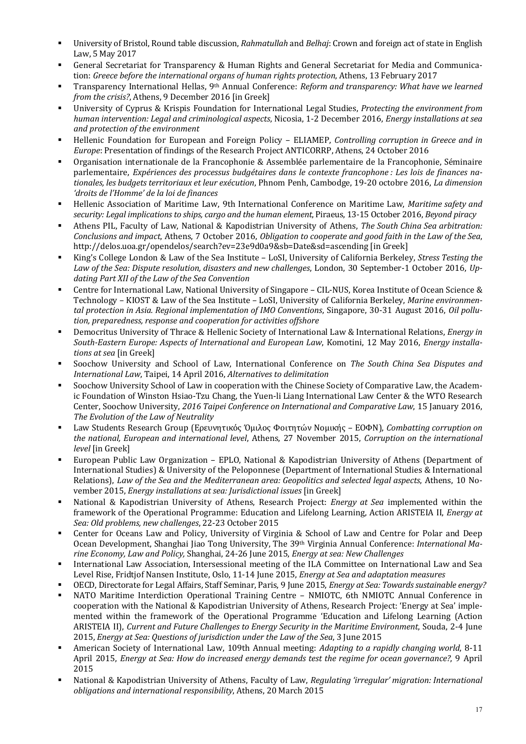- <sup>■</sup> University of Bristol, Round table discussion, *Rahmatullah* and *Belhaj*: Crown and foreign act of state in English Law, 5 May 2017
- General Secretariat for Transparency & Human Rights and General Secretariat for Media and Communication: *Greece before the international organs of human rights protection*, Athens, 13 February 2017
- Transparency International Hellas, 9<sup>th</sup> Annual Conference: *Reform and transparency: What have we learned from the crisis?*, Athens, 9 December 2016 [in Greek]
- University of Cyprus & Krispis Foundation for International Legal Studies, *Protecting the environment from human intervention: Legal and criminological aspects, Nicosia, 1-2 December 2016, <i>Energy installations at sea and protection of the environment*
- Hellenic Foundation for European and Foreign Policy ELIAMEP, *Controlling corruption in Greece and in Europe*: Presentation of findings of the Research Project ANTICORRP, Athens, 24 October 2016
- Organisation internationale de la Francophonie & Assemblée parlementaire de la Francophonie, Séminaire parlementaire, *Expériences des processus budgétaires dans le contexte francophone : Les lois de finances na*tionales, les budgets territoriaux et leur exécution, Phnom Penh, Cambodge, 19-20 octobre 2016, *La dimension 'droits de l'Homme' de la loi de finances*
- Hellenic Association of Maritime Law, 9th International Conference on Maritime Law, Maritime safety and *security: Legal implications to ships, cargo and the human element, Piraeus, 13-15 October 2016, Beyond piracy*
- Athens PIL, Faculty of Law, National & Kapodistrian University of Athens, *The South China Sea arbitration: Conclusions and impact, Athens, 7 October 2016, Obligation to cooperate and good faith in the Law of the Sea,* http://delos.uoa.gr/opendelos/search?ev=23e9d0a9&sb=Date&sd=ascending [in Greek]
- King's College London & Law of the Sea Institute LoSI, University of California Berkeley, *Stress Testing the* Law of the Sea: Dispute resolution, disasters and new challenges, London, 30 September-1 October 2016, Updating Part XII of the Law of the Sea Convention
- Centre for International Law, National University of Singapore CIL-NUS, Korea Institute of Ocean Science & Technology – KIOST & Law of the Sea Institute – LoSI, University of California Berkeley, *Marine environmental protection in Asia. Regional implementation of IMO Conventions, Singapore, 30-31 August 2016, <i>Oil pollu*tion, preparedness, response and cooperation for activities offshore
- Democritus University of Thrace & Hellenic Society of International Law & International Relations, *Energy in* South-Eastern Europe: Aspects of International and European Law, Komotini, 12 May 2016, *Energy installations at sea* [in Greek]
- Soochow University and School of Law, International Conference on *The South China Sea Disputes and International Law*, Taipei, 14 April 2016, *Alternatives to delimitation*
- Soochow University School of Law in cooperation with the Chinese Society of Comparative Law, the Academic Foundation of Winston Hsiao-Tzu Chang, the Yuen-li Liang International Law Center & the WTO Research Center, Soochow University, 2016 Taipei Conference on International and Comparative Law, 15 January 2016, **The Evolution of the Law of Neutrality**
- Law Students Research Group (Ερευνητικός Όμιλος Φοιτητών Νομικής ΕΟΦΝ), *Combatting corruption on the national, European and international level, Athens, 27 November 2015, Corruption on the international level* [in Greek]
- European Public Law Organization EPLO, National & Kapodistrian University of Athens (Department of International Studies) & University of the Peloponnese (Department of International Studies & International Relations), *Law of the Sea and the Mediterranean area: Geopolitics and selected legal aspects*, Athens, 10 November 2015, *Energy installations at sea: Jurisdictional issues* [in Greek]
- National & Kapodistrian University of Athens, Research Project: *Energy at Sea* implemented within the framework of the Operational Programme: Education and Lifelong Learning, Action ARISTEIA II, *Energy at Sea: Old problems, new challenges*, 22-23 October 2015
- Center for Oceans Law and Policy, University of Virginia & School of Law and Centre for Polar and Deep Ocean Development, Shanghai Jiao Tong University, The 39<sup>th</sup> Virginia Annual Conference: *International Ma*rine *Economy, Law and Policy, Shanghai, 24-26 June 2015, <i>Energy at sea: New Challenges*
- International Law Association, Intersessional meeting of the ILA Committee on International Law and Sea Level Rise, Fridtjof Nansen Institute, Oslo, 11-14 June 2015, *Energy at Sea and adaptation measures*
- OECD, Directorate for Legal Affairs, Staff Seminar, Paris, 9 June 2015, *Energy at Sea: Towards sustainable energy?*
- NATO Maritime Interdiction Operational Training Centre NMIOTC, 6th NMIOTC Annual Conference in cooperation with the National & Kapodistrian University of Athens, Research Project: 'Energy at Sea' implemented within the framework of the Operational Programme 'Education and Lifelong Learning (Action ARISTEIA II), *Current and Future Challenges to Energy Security in the Maritime Environment*, Souda, 2-4 June 2015, *Energy at Sea: Ouestions of jurisdiction under the Law of the Sea,* 3 June 2015
- American Society of International Law, 109th Annual meeting: *Adapting to a rapidly changing world*, 8-11 April 2015, *Energy at Sea: How do increased energy demands test the regime for ocean governance?*, 9 April 2015
- National & Kapodistrian University of Athens, Faculty of Law, *Regulating 'irregular' migration: International obligations and international responsibility*, Athens, 20 March 2015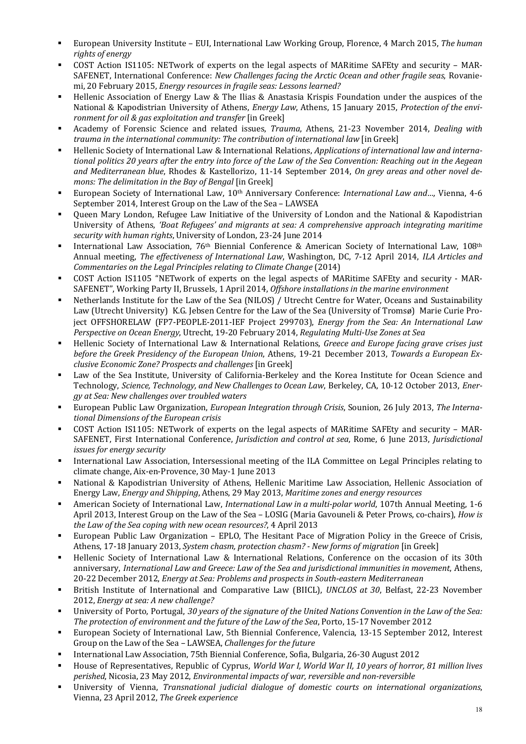- European University Institute EUI, International Law Working Group, Florence, 4 March 2015, The human *rights of energy*
- § COST Action IS1105: NETwork of experts on the legal aspects of MARitime SAFEty and security MAR-SAFENET, International Conference: *New Challenges facing the Arctic Ocean and other fragile seas*, Rovaniemi, 20 February 2015, *Energy resources in fragile seas: Lessons learned?*
- Hellenic Association of Energy Law & The Ilias & Anastasia Krispis Foundation under the auspices of the National & Kapodistrian University of Athens, *Energy Law*, Athens, 15 January 2015, *Protection of the environment for oil & gas exploitation and transfer* [in Greek]
- Academy of Forensic Science and related issues, *Trauma*, Athens, 21-23 November 2014, *Dealing with trauma in the international community: The contribution of international law* [in Greek]
- Hellenic Society of International Law & International Relations, *Applications of international law and interna*tional politics 20 years after the entry into force of the Law of the Sea Convention: Reaching out in the Aegean and Mediterranean blue, Rhodes & Kastellorizo, 11-14 September 2014, *On grey areas and other novel demons: The delimitation in the Bay of Bengal* [in Greek]
- European Society of International Law, 10<sup>th</sup> Anniversary Conference: *International Law and...*, Vienna, 4-6 September 2014, Interest Group on the Law of the Sea - LAWSEA
- Queen Mary London, Refugee Law Initiative of the University of London and the National & Kapodistrian University of Athens, 'Boat Refugees' and migrants at sea: A comprehensive approach integrating maritime security with human rights, University of London, 23-24 June 2014
- International Law Association, 76<sup>th</sup> Biennial Conference & American Society of International Law, 108<sup>th</sup> Annual meeting, *The effectiveness of International Law*, Washington, DC, 7-12 April 2014, *ILA Articles and Commentaries on the Legal Principles relating to Climate Change* (2014)
- COST Action IS1105 "NETwork of experts on the legal aspects of MARitime SAFEty and security MAR-SAFENET", Working Party II, Brussels, 1 April 2014, *Offshore installations in the marine environment*
- Netherlands Institute for the Law of the Sea (NILOS) / Utrecht Centre for Water, Oceans and Sustainability Law (Utrecht University) K.G. Jebsen Centre for the Law of the Sea (University of Tromsø) Marie Curie Project OFFSHORELAW (FP7-PEOPLE-2011-IEF Project 299703), *Energy from the Sea: An International Law Perspective on Ocean Energy,* Utrecht, 19-20 February 2014, *Regulating Multi-Use Zones at Sea*
- Hellenic Society of International Law & International Relations, *Greece and Europe facing grave crises just* before the Greek Presidency of the European Union, Athens, 19-21 December 2013, *Towards a European Exclusive Economic Zone? Prospects and challenges* [in Greek]
- Law of the Sea Institute, University of California-Berkeley and the Korea Institute for Ocean Science and Technology, *Science, Technology, and New Challenges to Ocean Law, Berkeley, CA, 10-12 October 2013, Energy at Sea: New challenges over troubled waters*
- European Public Law Organization, *European Integration through Crisis*, Sounion, 26 July 2013, *The International Dimensions of the European crisis*
- COST Action IS1105: NETwork of experts on the legal aspects of MARitime SAFEty and security MAR-SAFENET, First International Conference, *Jurisdiction and control at sea*, Rome, 6 June 2013, *Jurisdictional issues for energy security*
- International Law Association, Intersessional meeting of the ILA Committee on Legal Principles relating to climate change, Aix-en-Provence, 30 May-1 June 2013
- National & Kapodistrian University of Athens, Hellenic Maritime Law Association, Hellenic Association of Energy Law, *Energy and Shipping*, Athens, 29 May 2013, *Maritime zones and energy resources*
- American Society of International Law, *International Law in a multi-polar world*, 107th Annual Meeting, 1-6 April 2013, Interest Group on the Law of the Sea - LOSIG (Maria Gavouneli & Peter Prows, co-chairs), *How is* the Law of the Sea coping with new ocean resources?, 4 April 2013
- European Public Law Organization EPLO, The Hesitant Pace of Migration Policy in the Greece of Crisis, Athens, 17-18 January 2013, *System chasm, protection chasm?* - *New forms of migration* [in Greek]
- Hellenic Society of International Law & International Relations, Conference on the occasion of its 30th anniversary, *International Law and Greece: Law of the Sea and jurisdictional immunities in movement*, Athens, 20-22 December 2012, *Energy at Sea: Problems and prospects in South-eastern Mediterranean*
- British Institute of International and Comparative Law (BIICL), *UNCLOS at 30*, Belfast, 22-23 November 2012, *Energy at sea: A new challenge?*
- University of Porto, Portugal, 30 years of the signature of the United Nations Convention in the Law of the Sea: The protection of environment and the future of the Law of the Sea, Porto, 15-17 November 2012
- European Society of International Law, 5th Biennial Conference, Valencia, 13-15 September 2012, Interest Group on the Law of the Sea – LAWSEA, *Challenges for the future*
- International Law Association, 75th Biennial Conference, Sofia, Bulgaria, 26-30 August 2012
- House of Representatives, Republic of Cyprus, *World War I, World War II, 10 years of horror, 81 million lives* perished, Nicosia, 23 May 2012, *Environmental impacts of war, reversible and non-reversible*
- University of Vienna, *Transnational judicial dialogue of domestic courts on international organizations*, Vienna, 23 April 2012, *The Greek experience*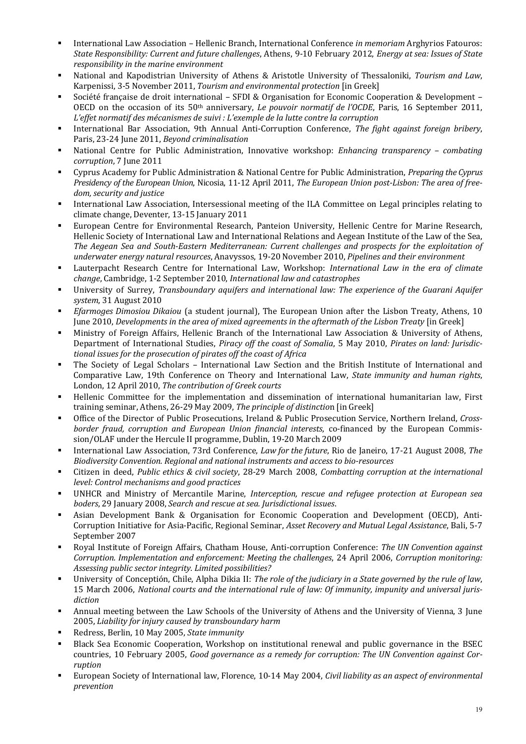- International Law Association Hellenic Branch, International Conference *in memoriam* Arghyrios Fatouros: *State Responsibility: Current and future challenges*, Athens, 9-10 February 2012, *Energy at sea: Issues of State responsibility in the marine environment*
- National and Kapodistrian University of Athens & Aristotle University of Thessaloniki, *Tourism and Law*, Karpenissi, 3-5 November 2011, *Tourism and environmental protection* [in Greek]
- Société française de droit international SFDI & Organisation for Economic Cooperation & Development OECD on the occasion of its  $50<sup>th</sup>$  anniversary, *Le pouvoir normatif de l'OCDE*, Paris, 16 September 2011, L'effet normatif des mécanismes de suivi : L'exemple de la lutte contre la corruption
- International Bar Association, 9th Annual Anti-Corruption Conference, *The fight against foreign bribery*, Paris, 23-24 June 2011, *Beyond criminalisation*
- National Centre for Public Administration, Innovative workshop: *Enhancing transparency combating corruption*, 7 June 2011
- Cyprus Academy for Public Administration & National Centre for Public Administration, *Preparing the Cyprus Presidency of the European Union, Nicosia, 11-12 April 2011, The European Union post-Lisbon: The area of freedom, security and justice*
- International Law Association, Intersessional meeting of the ILA Committee on Legal principles relating to climate change, Deventer, 13-15 January 2011
- European Centre for Environmental Research, Panteion University, Hellenic Centre for Marine Research, Hellenic Society of International Law and International Relations and Aegean Institute of the Law of the Sea, The Aegean Sea and South-Eastern Mediterranean: Current challenges and prospects for the exploitation of underwater energy natural resources, Anavyssos, 19-20 November 2010, Pipelines and their environment
- Lauterpacht Research Centre for International Law, Workshop: *International Law in the era of climate change*, Cambridge, 1-2 September 2010, *International law and catastrophes*
- University of Surrey, *Transboundary aquifers and international law: The experience of the Guarani Aquifer system*, 31 August 2010
- *Efarmoges Dimosiou Dikaiou* (a student journal), The European Union after the Lisbon Treaty, Athens, 10 June 2010, *Developments in the area of mixed agreements in the aftermath of the Lisbon Treaty* [in Greek]
- Ministry of Foreign Affairs, Hellenic Branch of the International Law Association & University of Athens, Department of International Studies, *Piracy off the coast of Somalia*, 5 May 2010, *Pirates on land: Jurisdic*tional issues for the prosecution of pirates off the coast of Africa
- The Society of Legal Scholars International Law Section and the British Institute of International and Comparative Law, 19th Conference on Theory and International Law, *State immunity and human rights*, London, 12 April 2010, *The contribution of Greek courts*
- Hellenic Committee for the implementation and dissemination of international humanitarian law. First training seminar, Athens, 26-29 May 2009, *The principle of distinction* [in Greek]
- Office of the Director of Public Prosecutions, Ireland & Public Prosecution Service, Northern Ireland, *Crossborder fraud, corruption and European Union financial interests, co-financed by the European Commis*sion/OLAF under the Hercule II programme, Dublin, 19-20 March 2009
- International Law Association, 73rd Conference, *Law for the future*, Rio de Janeiro, 17-21 August 2008, *The Biodiversity Convention. Regional and national instruments and access to bio-resources*
- Citizen in deed, *Public ethics & civil society*, 28-29 March 2008, *Combatting corruption at the international level: Control mechanisms and good practices*
- UNHCR and Ministry of Mercantile Marine, *Interception, rescue and refugee protection at European sea boders*, 29 January 2008, *Search and rescue at sea. Jurisdictional issues*.
- Asian Development Bank & Organisation for Economic Cooperation and Development (OECD), Anti-Corruption Initiative for Asia-Pacific, Regional Seminar, *Asset Recovery and Mutual Legal Assistance*, Bali, 5-7 September 2007
- Royal Institute of Foreign Affairs, Chatham House, Anti-corruption Conference: *The UN Convention against Corruption. Implementation and enforcement: Meeting the challenges,* 24 April 2006, *Corruption monitoring: Assessing public sector integrity. Limited possibilities?*
- University of Conceptión, Chile, Alpha Dikia II: The role of the judiciary in a State governed by the rule of law, 15 March 2006, *National courts and the international rule of law: Of immunity, impunity and universal jurisdiction*
- Annual meeting between the Law Schools of the University of Athens and the University of Vienna, 3 June 2005, *Liability for injury caused by transboundary harm*
- Redress, Berlin, 10 May 2005, *State immunity*
- Black Sea Economic Cooperation, Workshop on institutional renewal and public governance in the BSEC countries, 10 February 2005, *Good governance as a remedy for corruption: The UN Convention against Corruption*
- European Society of International law, Florence, 10-14 May 2004, *Civil liability as an aspect of environmental prevention*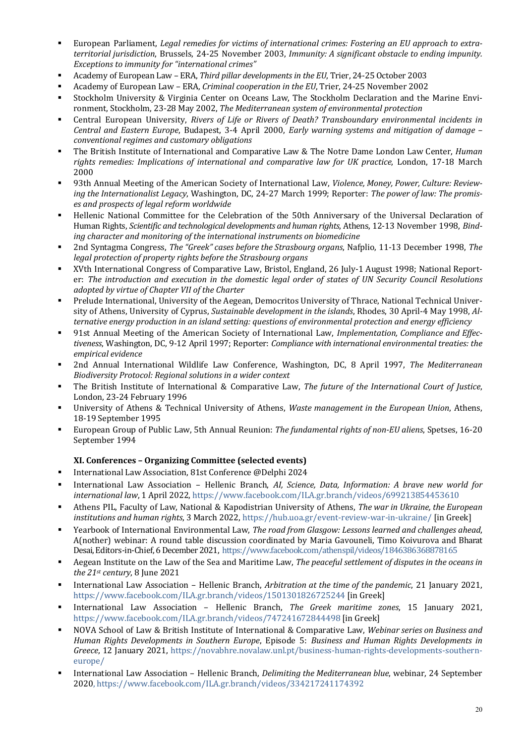- European Parliament, *Legal remedies for victims of international crimes: Fostering an EU approach to extraterritorial jurisdiction*, Brussels, 24-25 November 2003, *Immunity: A significant obstacle to ending impunity. Exceptions to immunity for "international crimes"*
- § Academy of European Law – ERA, *Third pillar developments in the EU*, Trier, 24-25 October 2003
- Academy of European Law ERA, *Criminal cooperation in the EU*, Trier, 24-25 November 2002
- Stockholm University & Virginia Center on Oceans Law, The Stockholm Declaration and the Marine Environment, Stockholm, 23-28 May 2002, *The Mediterranean system of environmental protection*
- Central European University, *Rivers of Life or Rivers of Death? Transboundary environmental incidents in Central and Eastern Europe, Budapest, 3-4 April 2000, Early warning systems and mitigation of damage conventional regimes and customary obligations*
- The British Institute of International and Comparative Law & The Notre Dame London Law Center, *Human* rights remedies: Implications of international and comparative law for UK practice, London, 17-18 March 2000
- 93th Annual Meeting of the American Society of International Law, *Violence, Money, Power, Culture: Review*ing the Internationalist Legacy, Washington, DC, 24-27 March 1999; Reporter: *The power of law: The promises and prospects of legal reform worldwide*
- Hellenic National Committee for the Celebration of the 50th Anniversary of the Universal Declaration of Human Rights, *Scientific and technological developments and human rights*, Athens, 12-13 November 1998, *Bind*ing character and monitoring of the international instruments on biomedicine
- 2nd Syntagma Congress, *The "Greek" cases before the Strasbourg organs*, Nafplio, 11-13 December 1998, *The legal protection of property rights before the Strasbourg organs*
- XVth International Congress of Comparative Law, Bristol, England, 26 July-1 August 1998; National Reporter: The introduction and execution in the domestic legal order of states of UN Security Council Resolutions *adopted by virtue of Chapter VII of the Charter*
- Prelude International, University of the Aegean, Democritos University of Thrace, National Technical University of Athens, University of Cyprus, *Sustainable development in the islands*, Rhodes, 30 April-4 May 1998, Al*ternative energy production in an island setting: questions of environmental protection and energy efficiency*
- 91st Annual Meeting of the American Society of International Law, *Implementation, Compliance and Effectiveness*, Washington, DC, 9-12 April 1997; Reporter: *Compliance with international environmental treaties: the empirical evidence*
- § 2nd Annual International Wildlife Law Conference, Washington, DC, 8 April 1997, *The Mediterranean Biodiversity Protocol: Regional solutions in a wider context*
- The British Institute of International & Comparative Law, *The future of the International Court of Justice*, London, 23-24 February 1996
- University of Athens & Technical University of Athens, *Waste management in the European Union*, Athens, 18-19 September 1995
- European Group of Public Law, 5th Annual Reunion: *The fundamental rights of non-EU aliens*, Spetses, 16-20 September 1994

### **XI. Conferences – Organizing Committee (selected events)**

- International Law Association, 81st Conference @Delphi 2024
- International Law Association Hellenic Branch, AI, Science, Data, Information: A brave new world for international law, 1 April 2022, https://www.facebook.com/ILA.gr.branch/videos/699213854453610
- Athens PIL, Faculty of Law, National & Kapodistrian University of Athens, *The war in Ukraine, the European institutions and human rights*, 3 March 2022, https://hub.uoa.gr/event-review-war-in-ukraine/ [in Greek]
- Yearbook of International Environmental Law, *The road from Glasgow: Lessons learned and challenges ahead*, A(nother) webinar: A round table discussion coordinated by Maria Gavouneli, Timo Koivurova and Bharat Desai, Editors-in-Chief, 6 December 2021, https://www.facebook.com/athenspil/videos/1846386368878165
- Aegean Institute on the Law of the Sea and Maritime Law, *The peaceful settlement of disputes in the oceans in the 21st century*, 8 June 2021
- International Law Association Hellenic Branch, *Arbitration at the time of the pandemic*, 21 January 2021, https://www.facebook.com/ILA.gr.branch/videos/1501301826725244 [in Greek]
- § International Law Association Hellenic Branch, *The Greek maritime zones*, 15 January 2021, https://www.facebook.com/ILA.gr.branch/videos/747241672844498 [in Greek]
- NOVA School of Law & British Institute of International & Comparative Law, Webinar series on Business and *Human Rights Developments in Southern Europe*, Episode 5: *Business and Human Rights Developments in Greece*, 12 January 2021, https://novabhre.novalaw.unl.pt/business-human-rights-developments-southerneurope/
- International Law Association Hellenic Branch, *Delimiting the Mediterranean blue*, webinar, 24 September 2020, https://www.facebook.com/ILA.gr.branch/videos/334217241174392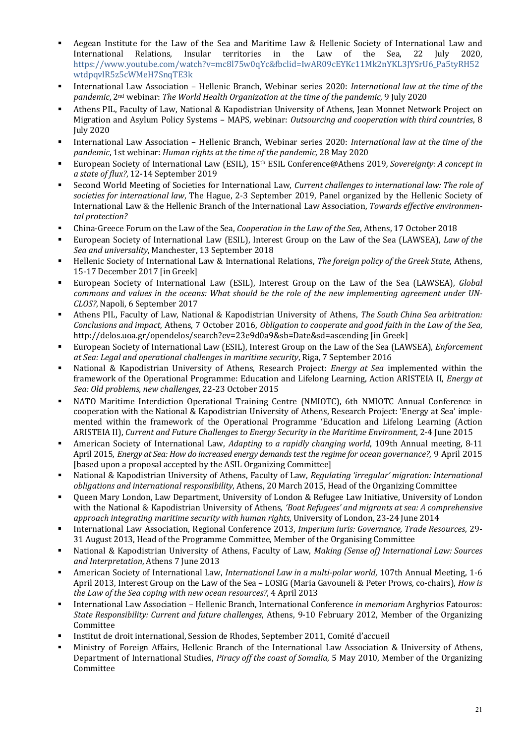- Aegean Institute for the Law of the Sea and Maritime Law & Hellenic Society of International Law and International Relations, Insular territories in the Law of the Sea, 22 July 2020, https://www.youtube.com/watch?v=mc8l75w0qYc&fbclid=IwAR09cEYKc11Mk2nYKL3JYSrU6\_Pa5tyRH52 wtdpqvlR5z5cWMeH7SnqTE3k
- International Law Association Hellenic Branch, Webinar series 2020: *International law at the time of the* pandemic, 2<sup>nd</sup> webinar: *The World Health Organization at the time of the pandemic*, 9 July 2020
- Athens PIL, Faculty of Law, National & Kapodistrian University of Athens, Jean Monnet Network Project on Migration and Asylum Policy Systems - MAPS, webinar: *Outsourcing and cooperation with third countries*, 8 July 2020
- International Law Association Hellenic Branch, Webinar series 2020: *International law at the time of the pandemic*, 1st webinar: *Human rights at the time of the pandemic*, 28 May 2020
- European Society of International Law (ESIL), 15<sup>th</sup> ESIL Conference@Athens 2019, Sovereignty: A concept in *a state of flux?*, 12-14 September 2019
- Second World Meeting of Societies for International Law, *Current challenges to international law: The role of* societies for international law, The Hague, 2-3 September 2019, Panel organized by the Hellenic Society of International Law & the Hellenic Branch of the International Law Association, *Towards effective environmental protection?*
- China-Greece Forum on the Law of the Sea, *Cooperation in the Law of the Sea*, Athens, 17 October 2018
- European Society of International Law (ESIL), Interest Group on the Law of the Sea (LAWSEA), *Law of the Sea and universality*, Manchester, 13 September 2018
- Hellenic Society of International Law & International Relations, *The foreign policy of the Greek State*, Athens, 15-17 December 2017 [in Greek]
- European Society of International Law (ESIL), Interest Group on the Law of the Sea (LAWSEA), *Global commons and values in the oceans: What should be the role of the new implementing agreement under UN-CLOS?*, Napoli, 6 September 2017
- Athens PIL, Faculty of Law, National & Kapodistrian University of Athens, *The South China Sea arbitration: Conclusions* and *impact*, Athens, 7 October 2016, *Obligation to cooperate and good faith in the Law of the Sea*, http://delos.uoa.gr/opendelos/search?ev=23e9d0a9&sb=Date&sd=ascending [in Greek]
- European Society of International Law (ESIL), Interest Group on the Law of the Sea (LAWSEA), *Enforcement at Sea: Legal and operational challenges in maritime security*, Riga, 7 September 2016
- National & Kapodistrian University of Athens, Research Project: *Energy at Sea* implemented within the framework of the Operational Programme: Education and Lifelong Learning, Action ARISTEIA II, *Energy at Sea: Old problems, new challenges*, 22-23 October 2015
- NATO Maritime Interdiction Operational Training Centre (NMIOTC), 6th NMIOTC Annual Conference in cooperation with the National & Kapodistrian University of Athens, Research Project: 'Energy at Sea' implemented within the framework of the Operational Programme 'Education and Lifelong Learning (Action ARISTEIA II), *Current and Future Challenges to Energy Security in the Maritime Environment*, 2-4 June 2015
- American Society of International Law, *Adapting to a rapidly changing world*, 109th Annual meeting, 8-11 April 2015, *Energy at Sea: How do increased energy demands test the regime for ocean governance?*, 9 April 2015 [based upon a proposal accepted by the ASIL Organizing Committee]
- National & Kapodistrian University of Athens, Faculty of Law, *Regulating 'irregular' migration: International obligations and international responsibility*, Athens, 20 March 2015, Head of the Organizing Committee
- Queen Mary London, Law Department, University of London & Refugee Law Initiative, University of London with the National & Kapodistrian University of Athens, 'Boat Refugees' and migrants at sea: A comprehensive approach integrating maritime security with human rights, University of London, 23-24 June 2014
- International Law Association, Regional Conference 2013, Imperium iuris: Governance, Trade Resources, 29-31 August 2013, Head of the Programme Committee, Member of the Organising Committee
- National & Kapodistrian University of Athens, Faculty of Law, *Making (Sense of) International Law: Sources* and Interpretation, Athens 7 June 2013
- American Society of International Law, *International Law in a multi-polar world*, 107th Annual Meeting, 1-6 April 2013, Interest Group on the Law of the Sea - LOSIG (Maria Gavouneli & Peter Prows, co-chairs), *How is* the Law of the Sea coping with new ocean resources?, 4 April 2013
- International Law Association Hellenic Branch, International Conference *in memoriam* Arghyrios Fatouros: *State Responsibility: Current and future challenges, Athens, 9-10 February 2012, Member of the Organizing* Committee
- Institut de droit international, Session de Rhodes, September 2011, Comité d'accueil
- Ministry of Foreign Affairs, Hellenic Branch of the International Law Association & University of Athens, Department of International Studies, *Piracy off the coast of Somalia*, 5 May 2010, Member of the Organizing Committee